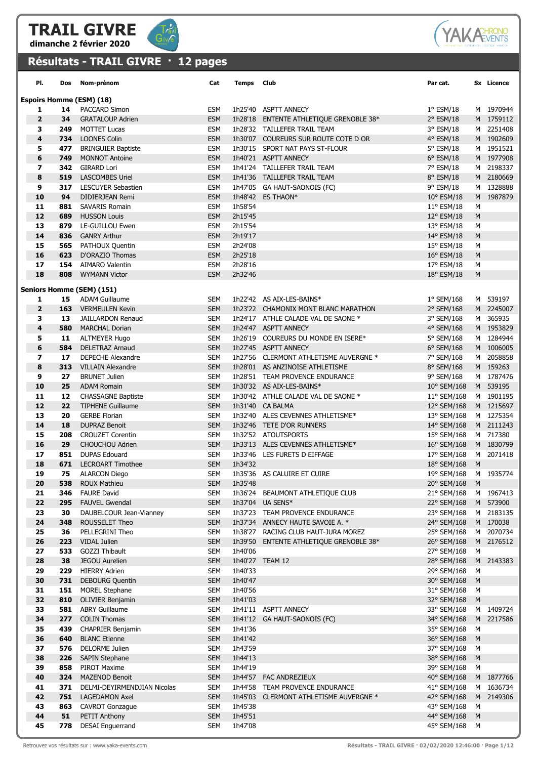



## Résultats - TRAIL GIVRE · 12 pages

| PI.                     | Dos        | Nom-prénom                                           | Cat                      | Temps              | <b>Club</b>                                                 | Par cat.                   |             | Sx Licence             |
|-------------------------|------------|------------------------------------------------------|--------------------------|--------------------|-------------------------------------------------------------|----------------------------|-------------|------------------------|
|                         |            | <b>Espoirs Homme (ESM) (18)</b>                      |                          |                    |                                                             |                            |             |                        |
| 1                       | 14         | <b>PACCARD Simon</b>                                 | ESM                      |                    | 1h25'40 ASPTT ANNECY                                        | $1^{\circ}$ ESM/18         |             | M 1970944              |
| $\overline{2}$          | 34         | <b>GRATALOUP Adrien</b>                              | <b>ESM</b>               |                    | 1h28'18 ENTENTE ATHLETIQUE GRENOBLE 38*                     | 2° ESM/18                  |             | M 1759112              |
| 3                       | 249        | <b>MOTTET Lucas</b>                                  | ESM                      |                    | 1h28'32 TAILLEFER TRAIL TEAM                                | 3° ESM/18                  |             | M 2251408              |
| 4                       | 734        | <b>LOONES Colin</b>                                  | <b>ESM</b>               |                    | 1h30'07 COUREURS SUR ROUTE COTE D OR                        | 4° ESM/18                  |             | M 1902609              |
| 5                       | 477        | <b>BRINGUIER Baptiste</b>                            | <b>ESM</b>               |                    | 1h30'15 SPORT NAT PAYS ST-FLOUR                             | 5° ESM/18                  |             | M 1951521              |
| 6                       | 749        | <b>MONNOT Antoine</b>                                | <b>ESM</b>               |                    | 1h40'21 ASPTT ANNECY                                        | $6^{\circ}$ ESM/18         |             | M 1977908              |
| $\overline{\mathbf{z}}$ | 342        | <b>GIRARD Lori</b>                                   | <b>ESM</b>               |                    | 1h41'24 TAILLEFER TRAIL TEAM                                | 7° ESM/18                  |             | M 2198337              |
| 8                       | 519        | <b>LASCOMBES Uriel</b>                               | <b>ESM</b>               |                    | 1h41'36 TAILLEFER TRAIL TEAM                                | 8° ESM/18                  |             | M 2180669              |
| 9                       | 317        | <b>LESCUYER Sebastien</b>                            | <b>ESM</b>               |                    | 1h47'05 GA HAUT-SAONOIS (FC)                                | 9° ESM/18                  |             | M 1328888              |
| 10                      | 94         | <b>DIDIERJEAN Remi</b>                               | <b>ESM</b>               |                    | 1h48'42 ES THAON*                                           | $10^{\circ}$ ESM/18        |             | M 1987879              |
| 11                      | 881        | <b>SAVARIS Romain</b>                                | <b>ESM</b>               | 1h58'54            |                                                             | $11^{\circ}$ ESM/18        | М           |                        |
| 12                      | 689        | <b>HUSSON Louis</b>                                  | <b>ESM</b>               | 2h15'45            |                                                             | 12° ESM/18                 | M           |                        |
| 13<br>14                | 879<br>836 | LE-GUILLOU Ewen<br><b>GANRY Arthur</b>               | ESM<br><b>ESM</b>        | 2h15'54<br>2h19'17 |                                                             | 13° ESM/18                 | М           |                        |
| 15                      | 565        | PATHOUX Quentin                                      | ESM                      | 2h24'08            |                                                             | 14° ESM/18<br>15° ESM/18   | М<br>М      |                        |
| 16                      | 623        | D'ORAZIO Thomas                                      | <b>ESM</b>               | 2h25'18            |                                                             | $16^{\circ}$ ESM/18        | М           |                        |
| 17                      | 154        | AIMARO Valentin                                      | <b>ESM</b>               | 2h28'16            |                                                             | 17° ESM/18                 | М           |                        |
| 18                      | 808        | <b>WYMANN Victor</b>                                 | <b>ESM</b>               | 2h32'46            |                                                             | 18° ESM/18                 | М           |                        |
|                         |            |                                                      |                          |                    |                                                             |                            |             |                        |
|                         |            | Seniors Homme (SEM) (151)                            |                          |                    |                                                             |                            |             |                        |
| 1                       | 15         | <b>ADAM Guillaume</b>                                | <b>SEM</b>               |                    | 1h22'42 AS AIX-LES-BAINS*                                   | 1° SEM/168                 |             | M 539197               |
| $\overline{\mathbf{2}}$ |            | 163 VERMEULEN Kevin                                  | <b>SEM</b>               |                    | 1h23'22 CHAMONIX MONT BLANC MARATHON                        | 2° SEM/168                 |             | M 2245007              |
| 3                       | 13         | JAILLARDON Renaud                                    | <b>SEM</b>               |                    | 1h24'17 ATHLE CALADE VAL DE SAONE *                         | 3° SEM/168                 |             | M 365935               |
| 4                       | 580        | <b>MARCHAL Dorian</b>                                | <b>SEM</b>               |                    | 1h24'47 ASPTT ANNECY                                        | 4° SEM/168                 |             | M 1953829<br>M 1284944 |
| 5<br>6                  | 11<br>584  | <b>ALTMEYER Hugo</b><br><b>DELETRAZ Arnaud</b>       | <b>SEM</b><br><b>SEM</b> |                    | 1h26'19 COUREURS DU MONDE EN ISERE*<br>1h27'45 ASPTT ANNECY | 5° SEM/168<br>6° SEM/168   |             | M 1006005              |
| 7                       | 17         | <b>DEPECHE Alexandre</b>                             | <b>SEM</b>               |                    | 1h27'56 CLERMONT ATHLETISME AUVERGNE *                      | 7° SEM/168                 |             | M 2058858              |
| 8                       | 313        | <b>VILLAIN Alexandre</b>                             | <b>SEM</b>               |                    | 1h28'01 AS ANZINOISE ATHLETISME                             | 8° SEM/168                 |             | M 159263               |
| 9                       | 27         | <b>BRUNET Julien</b>                                 | <b>SEM</b>               |                    | 1h28'51 TEAM PROVENCE ENDURANCE                             | 9° SEM/168                 |             | M 1787476              |
| 10                      | 25         | <b>ADAM Romain</b>                                   | <b>SEM</b>               |                    | 1h30'32 AS AIX-LES-BAINS*                                   | $10^{\circ}$ SEM/168       |             | M 539195               |
| 11                      | 12         | <b>CHASSAGNE Baptiste</b>                            | <b>SEM</b>               |                    | 1h30'42 ATHLE CALADE VAL DE SAONE *                         | 11° SEM/168                |             | M 1901195              |
| 12                      | 22         | <b>TIPHENE Guillaume</b>                             | <b>SEM</b>               |                    | 1h31'40 CA BALMA                                            | 12° SEM/168                |             | M 1215697              |
| 13                      | 20         | <b>GERBE Florian</b>                                 | <b>SEM</b>               |                    | 1h32'40 ALES CEVENNES ATHLETISME*                           | 13° SEM/168                |             | M 1275354              |
| 14                      | 18         | <b>DUPRAZ Benoit</b>                                 | <b>SEM</b>               |                    | 1h32'46 TETE D'OR RUNNERS                                   | 14° SEM/168                |             | M 2111243              |
| 15                      | 208        | <b>CROUZET Corentin</b>                              | <b>SEM</b>               |                    | 1h32'52 ATOUTSPORTS                                         | 15° SEM/168                |             | M 717380               |
| 16                      | 29         | CHOUCHOU Adrien                                      | <b>SEM</b>               |                    | 1h33'13 ALES CEVENNES ATHLETISME*                           | 16° SEM/168                |             | M 1830799              |
| 17                      | 851        | <b>DUPAS Edouard</b>                                 | SEM                      |                    | 1h33'46 LES FURETS D EIFFAGE                                | 17° SEM/168                |             | M 2071418              |
| 18                      | 671        | <b>LECROART Timothee</b>                             | <b>SEM</b>               | 1h34'32            |                                                             | 18° SEM/168                | M           |                        |
| 19                      | 75         | <b>ALARCON Diego</b>                                 | <b>SEM</b>               |                    | 1h35'36 AS CALUIRE ET CUIRE                                 | 19° SEM/168                |             | M 1935774              |
| 20                      | 538        | <b>ROUX Mathieu</b>                                  | <b>SEM</b>               | 1h35'48            |                                                             | 20° SEM/168                | M           |                        |
| 21                      | 346        | <b>FAURE David</b>                                   | SEM                      |                    | 1h36'24 BEAUMONT ATHLETIQUE CLUB                            | 21° SEM/168                |             | M 1967413              |
| 22<br>23                | 295<br>30  | <b>FAUVEL Gwendal</b><br>DAUBELCOUR Jean-Vianney     | <b>SEM</b><br>SEM        |                    | 1h37'04 UA SENS*<br>1h37'23 TEAM PROVENCE ENDURANCE         | 22° SEM/168<br>23° SEM/168 |             | M 573900<br>M 2183135  |
| ${\bf 24}$              | 348        | ROUSSELET Theo                                       | <b>SEM</b>               |                    | 1h37'34 ANNECY HAUTE SAVOIE A. *                            | 24° SEM/168                |             | M 170038               |
| 25                      | 36         | PELLEGRINI Theo                                      | SEM                      |                    | 1h38'27 RACING CLUB HAUT-JURA MOREZ                         | 25° SEM/168                |             | M 2070734              |
| 26                      | 223        | VIDAL Julien                                         | <b>SEM</b>               | 1h39'50            | <b>ENTENTE ATHLETIQUE GRENOBLE 38*</b>                      | 26° SEM/168                |             | M 2176512              |
| 27                      | 533        | <b>GOZZI Thibault</b>                                | <b>SEM</b>               | 1h40'06            |                                                             | 27° SEM/168                | м           |                        |
| 28                      | 38         | JEGOU Aurelien                                       | <b>SEM</b>               |                    | 1h40'27 TEAM 12                                             | 28° SEM/168                | M           | 2143383                |
| 29                      | 229        | <b>HIERRY Adrien</b>                                 | <b>SEM</b>               | 1h40'33            |                                                             | 29° SEM/168                | М           |                        |
| 30                      | 731        | <b>DEBOURG Quentin</b>                               | <b>SEM</b>               | 1h40'47            |                                                             | 30° SEM/168                | M           |                        |
| 31                      | 151        | <b>MOREL Stephane</b>                                | <b>SEM</b>               | 1h40'56            |                                                             | 31° SEM/168                | M           |                        |
| 32                      | 810        | <b>OLIVIER Benjamin</b>                              | <b>SEM</b>               | 1h41'03            |                                                             | 32° SEM/168                | $M_{\odot}$ |                        |
| 33                      | 581        | <b>ABRY Guillaume</b>                                | SEM                      |                    | 1h41'11 ASPTT ANNECY                                        | 33° SEM/168                |             | M 1409724              |
| 34                      | 277        | <b>COLIN Thomas</b>                                  | <b>SEM</b>               |                    | 1h41'12 GA HAUT-SAONOIS (FC)                                | 34° SEM/168                |             | M 2217586              |
| 35                      | 439        | <b>CHAPRIER Benjamin</b>                             | SEM                      | 1h41'36            |                                                             | 35° SEM/168                | м           |                        |
| 36                      | 640        | <b>BLANC Etienne</b>                                 | <b>SEM</b>               | 1h41'42            |                                                             | 36° SEM/168                | ${\sf M}$   |                        |
| 37                      | 576        | DELORME Julien                                       | <b>SEM</b>               | 1h43'59            |                                                             | 37° SEM/168                | м           |                        |
| 38                      | 226        | <b>SAPIN Stephane</b>                                | <b>SEM</b>               | 1h44'13            |                                                             | 38° SEM/168                | ${\sf M}$   |                        |
| 39<br>40                | 858        | PIROT Maxime                                         | SEM                      | 1h44'19            | 1h44'57 FAC ANDREZIEUX                                      | 39° SEM/168                | М           |                        |
| 41                      | 324<br>371 | <b>MAZENOD Benoit</b><br>DELMI-DEYIRMENDJIAN Nicolas | <b>SEM</b><br><b>SEM</b> | 1h44'58            | TEAM PROVENCE ENDURANCE                                     | 40° SEM/168<br>41° SEM/168 |             | M 1877766<br>M 1636734 |
| 42                      | 751        | <b>LAGEDAMON Axel</b>                                | <b>SEM</b>               | 1h45'03            | CLERMONT ATHLETISME AUVERGNE *                              | 42° SEM/168                |             | M 2149306              |
| 43                      | 863        | <b>CAVROT Gonzague</b>                               | <b>SEM</b>               | 1h45'38            |                                                             | 43° SEM/168                | М           |                        |
| 44                      | 51         | PETIT Anthony                                        | <b>SEM</b>               | 1h45'51            |                                                             | 44° SEM/168 M              |             |                        |

45 778 DESAI Enguerrand SEM 1h47'08 3 and 50 and 45° SEM/168 M

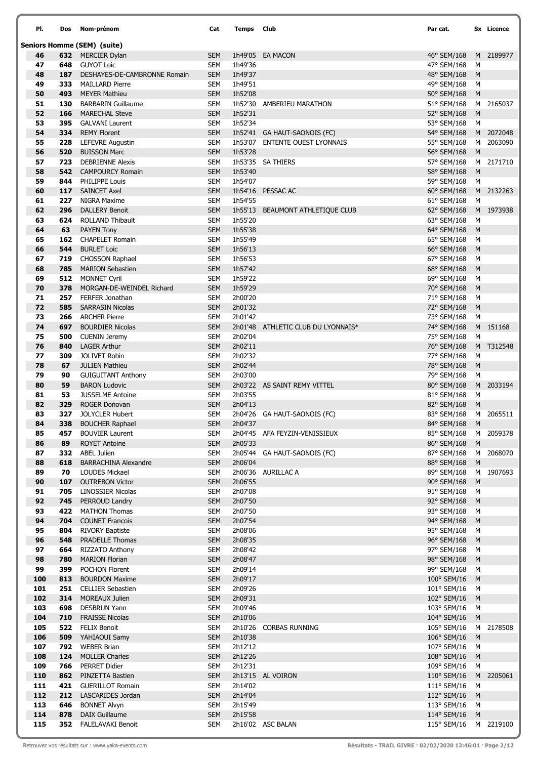| PI.        | Dos        | Nom-prénom                                         | Cat                      | Temps Club         |                                  | Par cat.                              |        | Sx Licence |
|------------|------------|----------------------------------------------------|--------------------------|--------------------|----------------------------------|---------------------------------------|--------|------------|
|            |            | <b>Seniors Homme (SEM) (suite)</b>                 |                          |                    |                                  |                                       |        |            |
| 46         |            | <b>632</b> MERCIER Dylan                           | <b>SEM</b>               |                    | 1h49'05 EA MACON                 | 46° SEM/168                           |        | M 2189977  |
| 47         | 648        | <b>GUYOT Loic</b>                                  | SEM                      | 1h49'36            |                                  | 47° SEM/168                           | м      |            |
| 48         | 187        | DESHAYES-DE-CAMBRONNE Romain                       | <b>SEM</b>               | 1h49'37            |                                  | 48° SEM/168                           | M      |            |
| 49         | 333        | <b>MAILLARD Pierre</b>                             | SEM                      | 1h49'51            |                                  | 49° SEM/168                           | М      |            |
| 50         | 493        | <b>MEYER Mathieu</b>                               | <b>SEM</b>               | 1h52'08            |                                  | 50° SEM/168                           | M      |            |
| 51<br>52   | 130<br>166 | <b>BARBARIN Guillaume</b><br><b>MARECHAL Steve</b> | <b>SEM</b><br><b>SEM</b> | 1h52'30<br>1h52'31 | AMBERIEU MARATHON                | 51° SEM/168                           | M      | M 2165037  |
| 53         | 395        | <b>GALVANI Laurent</b>                             | SEM                      | 1h52'34            |                                  | 52° SEM/168<br>53° SEM/168            | М      |            |
| 54         | 334        | <b>REMY Florent</b>                                | <b>SEM</b>               |                    | 1h52'41 GA HAUT-SAONOIS (FC)     | 54° SEM/168                           |        | M 2072048  |
| 55         | 228        | <b>LEFEVRE Augustin</b>                            | <b>SEM</b>               | 1h53'07            | <b>ENTENTE OUEST LYONNAIS</b>    | 55° SEM/168                           |        | M 2063090  |
| 56         | 520        | <b>BUISSON Marc</b>                                | <b>SEM</b>               | 1h53'28            |                                  | 56° SEM/168                           | M      |            |
| 57         | 723        | <b>DEBRIENNE Alexis</b>                            | <b>SEM</b>               |                    | 1h53'35 SA THIERS                | 57° SEM/168                           |        | M 2171710  |
| 58         | 542        | <b>CAMPOURCY Romain</b>                            | <b>SEM</b>               | 1h53'40            |                                  | 58° SEM/168                           | M      |            |
| 59         | 844        | PHILIPPE Louis                                     | <b>SEM</b>               | 1h54'07            |                                  | 59° SEM/168                           | м      |            |
| 60         | 117        | <b>SAINCET Axel</b>                                | <b>SEM</b>               |                    | 1h54'16 PESSAC AC                | 60° SEM/168                           |        | M 2132263  |
| 61         | 227        | NIGRA Maxime                                       | <b>SEM</b>               | 1h54'55            |                                  | 61° SEM/168                           | м      |            |
| 62         | 296        | <b>DALLERY Benoit</b>                              | <b>SEM</b>               |                    | 1h55'13 BEAUMONT ATHLETIQUE CLUB | 62° SEM/168                           |        | M 1973938  |
| 63         | 624        | ROLLAND Thibault                                   | <b>SEM</b>               | 1h55'20            |                                  | 63° SEM/168                           | М      |            |
| 64<br>65   | 63<br>162  | <b>PAYEN Tony</b><br><b>CHAPELET Romain</b>        | <b>SEM</b><br><b>SEM</b> | 1h55'38<br>1h55'49 |                                  | 64° SEM/168<br>65° SEM/168            | M<br>M |            |
| 66         | 544        | <b>BURLET Loic</b>                                 | <b>SEM</b>               | 1h56'13            |                                  | 66° SEM/168                           | M      |            |
| 67         | 719        | <b>CHOSSON Raphael</b>                             | <b>SEM</b>               | 1h56'53            |                                  | 67° SEM/168                           | M      |            |
| 68         | 785        | <b>MARION Sebastien</b>                            | <b>SEM</b>               | 1h57'42            |                                  | 68° SEM/168                           | M      |            |
| 69         | 512        | <b>MONNET Cyril</b>                                | <b>SEM</b>               | 1h59'22            |                                  | 69° SEM/168                           | M      |            |
| 70         | 378        | MORGAN-DE-WEINDEL Richard                          | <b>SEM</b>               | 1h59'29            |                                  | 70° SEM/168                           | M      |            |
| 71         | 257        | <b>FERFER Jonathan</b>                             | <b>SEM</b>               | 2h00'20            |                                  | 71° SEM/168                           | м      |            |
| 72         | 585        | <b>SARRASIN Nicolas</b>                            | <b>SEM</b>               | 2h01'32            |                                  | 72° SEM/168                           | M      |            |
| 73         | 266        | <b>ARCHER Pierre</b>                               | <b>SEM</b>               | 2h01'42            |                                  | 73° SEM/168                           | м      |            |
| 74         | 697        | <b>BOURDIER Nicolas</b>                            | <b>SEM</b>               | 2h01'48            | ATHLETIC CLUB DU LYONNAIS*       | 74° SEM/168                           |        | M 151168   |
| 75         | 500        | <b>CUENIN Jeremy</b>                               | <b>SEM</b>               | 2h02'04            |                                  | 75° SEM/168                           | м      |            |
| 76         | 840        | <b>LAGER Arthur</b><br><b>JOLIVET Robin</b>        | <b>SEM</b>               | 2h02'11            |                                  | 76° SEM/168                           |        | M T312548  |
| 77<br>78   | 309<br>67  | <b>JULIEN Mathieu</b>                              | <b>SEM</b><br><b>SEM</b> | 2h02'32<br>2h02'44 |                                  | 77° SEM/168<br>78° SEM/168            | M<br>M |            |
| 79         | 90         | <b>GUIGUITANT Anthony</b>                          | <b>SEM</b>               | 2h03'00            |                                  | 79° SEM/168                           | M      |            |
| 80         | 59         | <b>BARON Ludovic</b>                               | <b>SEM</b>               |                    | 2h03'22 AS SAINT REMY VITTEL     | 80° SEM/168                           |        | M 2033194  |
| 81         | 53         | <b>JUSSELME Antoine</b>                            | SEM                      | 2h03'55            |                                  | 81° SEM/168                           | м      |            |
| 82         | 329        | <b>ROGER Donovan</b>                               | <b>SEM</b>               | 2h04'13            |                                  | 82° SEM/168                           | M      |            |
| 83         | 327        | <b>JOLYCLER Hubert</b>                             | SEM                      |                    | 2h04'26 GA HAUT-SAONOIS (FC)     | 83° SEM/168                           |        | M 2065511  |
| 84         |            | 338 BOUCHER Raphael                                | <b>SEM</b>               | 2h04'37            |                                  | 84° SEM/168 M                         |        |            |
| 85         |            | <b>457</b> BOUVIER Laurent                         | SEM                      |                    | 2h04'45 AFA FEYZIN-VENISSIEUX    | 85° SEM/168 M 2059378                 |        |            |
| 86         | 89         | <b>ROYET Antoine</b>                               | <b>SEM</b>               | 2h05'33            |                                  | 86° SEM/168                           | M      |            |
| 87<br>88   | 618        | 332 ABEL Julien<br><b>BARRACHINA Alexandre</b>     | SEM<br><b>SEM</b>        | 2h06'04            | 2h05'44 GA HAUT-SAONOIS (FC)     | 87° SEM/168<br>88° SEM/168            | M      | M 2068070  |
| 89         | 70         | <b>LOUDES Mickael</b>                              | <b>SEM</b>               |                    | 2h06'36 AURILLAC A               | 89° SEM/168                           |        | M 1907693  |
| 90         |            | 107 OUTREBON Victor                                | <b>SEM</b>               | 2h06'55            |                                  | 90° SEM/168 M                         |        |            |
| 91         | 705        | <b>LINOSSIER Nicolas</b>                           | SEM                      | 2h07'08            |                                  | 91° SEM/168                           | M      |            |
| 92         | 745        | PERROUD Landry                                     | <b>SEM</b>               | 2h07'50            |                                  | 92° SEM/168 M                         |        |            |
| 93         | 422        | <b>MATHON Thomas</b>                               | <b>SEM</b>               | 2h07'50            |                                  | 93° SEM/168                           | M      |            |
| 94         |            | 704 COUNET Francois                                | <b>SEM</b>               | 2h07'54            |                                  | 94° SEM/168 M                         |        |            |
| 95         |            | 804 RIVORY Baptiste                                | <b>SEM</b>               | 2h08'06            |                                  | 95° SEM/168                           | M      |            |
| 96         | 548        | <b>PRADELLE Thomas</b>                             | <b>SEM</b>               | 2h08'35            |                                  | 96° SEM/168                           | M      |            |
| 97<br>98   |            | 664 RIZZATO Anthony<br>780 MARION Florian          | <b>SEM</b><br><b>SEM</b> | 2h08'42<br>2h08'47 |                                  | 97° SEM/168<br>98° SEM/168            | M<br>M |            |
| 99         | 399        | <b>POCHON Florent</b>                              | <b>SEM</b>               | 2h09'14            |                                  | 99° SEM/168                           | M      |            |
| 100        | 813        | <b>BOURDON Maxime</b>                              | <b>SEM</b>               | 2h09'17            |                                  | 100° SEM/16                           | M      |            |
| 101        |            | 251 CELLIER Sebastien                              | <b>SEM</b>               | 2h09'26            |                                  | 101° SEM/16                           | M      |            |
| 102        |            | 314 MOREAUX Julien                                 | <b>SEM</b>               | 2h09'31            |                                  | 102° SEM/16 M                         |        |            |
| 103        | 698        | <b>DESBRUN Yann</b>                                | <b>SEM</b>               | 2h09'46            |                                  | 103° SEM/16                           | M      |            |
| 104        |            | 710 FRAISSE Nicolas                                | <b>SEM</b>               | 2h10'06            |                                  | 104° SEM/16 M                         |        |            |
| 105        |            | <b>522</b> FELIX Benoit                            | SEM                      | 2h10'26            | CORBAS RUNNING                   | 105° SEM/16                           |        | M 2178508  |
| 106        |            | 509 YAHIAOUI Samy                                  | <b>SEM</b>               | 2h10'38            |                                  | 106° SEM/16 M                         |        |            |
| 107        |            | 792 WEBER Brian                                    | <b>SEM</b>               | 2h12'12            |                                  | 107° SEM/16 M                         |        |            |
| 108        |            | 124 MOLLER Charles                                 | <b>SEM</b>               | 2h12'26            |                                  | 108° SEM/16                           | M      |            |
| 109<br>110 |            | 766 PERRET Didier<br>862 PINZETTA Bastien          | <b>SEM</b><br><b>SEM</b> | 2h12'31            | 2h13'15 AL VOIRON                | 109° SEM/16 M                         |        |            |
| 111        |            | 421 GUERILLOT Romain                               | <b>SEM</b>               | 2h14'02            |                                  | $110^{\circ}$ SEM/16<br>111° SEM/16 M |        | M 2205061  |
| 112        |            | 212 LASCARIDES Jordan                              | <b>SEM</b>               | 2h14'04            |                                  | 112° SEM/16 M                         |        |            |
| 113        | 646        | <b>BONNET Alvyn</b>                                | <b>SEM</b>               | 2h15'49            |                                  | 113° SEM/16                           | M      |            |
| 114        |            | 878 DAIX Guillaume                                 | <b>SEM</b>               | 2h15'58            |                                  | 114° SEM/16 M                         |        |            |
| 115        |            | 352 FALELAVAKI Benoit                              | SEM                      |                    | 2h16'02 ASC BALAN                | 115° SEM/16 M 2219100                 |        |            |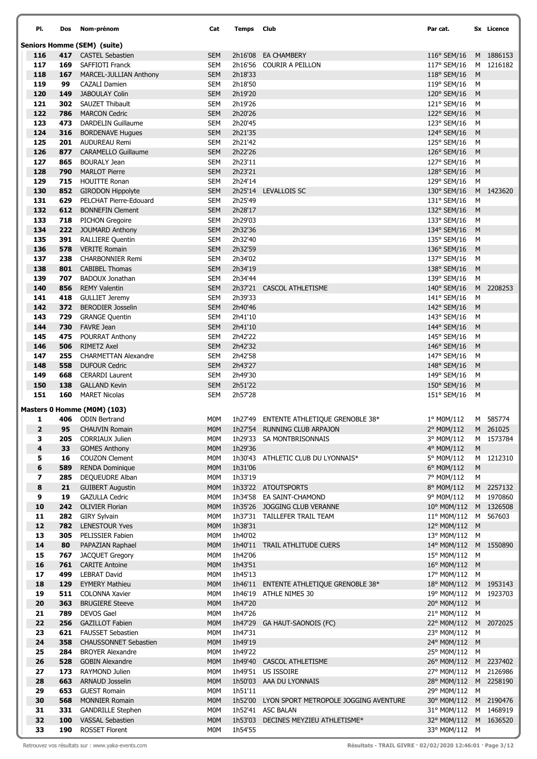| PI.                      | Dos | Nom-prénom                         | Cat              | Temps   | <b>Club</b>                                   | Par cat.              |           | Sx Licence |
|--------------------------|-----|------------------------------------|------------------|---------|-----------------------------------------------|-----------------------|-----------|------------|
|                          |     | <b>Seniors Homme (SEM) (suite)</b> |                  |         |                                               |                       |           |            |
| 116                      |     | 417 CASTEL Sebastien               | <b>SEM</b>       |         | 2h16'08 EA CHAMBERY                           | 116° SEM/16           |           | M 1886153  |
| 117                      | 169 | SAFFIOTI Franck                    | SEM              |         | 2h16'56 COURIR A PEILLON                      | 117° SEM/16           |           | M 1216182  |
| 118                      | 167 | MARCEL-JULLIAN Anthony             | <b>SEM</b>       | 2h18'33 |                                               | 118° SEM/16           | M         |            |
| 119                      | 99  | <b>CAZALI Damien</b>               | <b>SEM</b>       | 2h18'50 |                                               | 119° SEM/16           | M         |            |
| 120                      | 149 | <b>JABOULAY Colin</b>              | <b>SEM</b>       | 2h19'20 |                                               | 120° SEM/16           | M         |            |
| 121                      | 302 | SAUZET Thibault                    | <b>SEM</b>       | 2h19'26 |                                               | 121° SEM/16           | M         |            |
| 122                      | 786 | <b>MARCON Cedric</b>               | <b>SEM</b>       | 2h20'26 |                                               | 122° SEM/16           | M         |            |
| 123                      | 473 | DARDELIN Guillaume                 | SEM              | 2h20'45 |                                               | 123° SEM/16           | м         |            |
| 124                      | 316 | <b>BORDENAVE Hugues</b>            | <b>SEM</b>       | 2h21'35 |                                               | 124° SEM/16           | M         |            |
| 125                      | 201 | <b>AUDUREAU Remi</b>               | <b>SEM</b>       | 2h21'42 |                                               | 125° SEM/16           | M         |            |
| 126                      | 877 | <b>CARAMELLO Guillaume</b>         | <b>SEM</b>       | 2h22'26 |                                               | 126° SEM/16           | M         |            |
| 127                      | 865 | <b>BOURALY Jean</b>                | <b>SEM</b>       | 2h23'11 |                                               | 127° SEM/16           | м         |            |
| 128                      | 790 | <b>MARLOT Pierre</b>               | <b>SEM</b>       | 2h23'21 |                                               | 128° SEM/16           | M         |            |
| 129                      | 715 | <b>HOUITTE Ronan</b>               | <b>SEM</b>       | 2h24'14 |                                               | 129° SEM/16           | M         |            |
| 130                      | 852 | <b>GIRODON Hippolyte</b>           | <b>SEM</b>       | 2h25'14 | LEVALLOIS SC                                  | 130° SEM/16           |           | M 1423620  |
| 131                      | 629 | PELCHAT Pierre-Edouard             | <b>SEM</b>       | 2h25'49 |                                               | 131° SEM/16           | м         |            |
| 132                      | 612 | <b>BONNEFIN Clement</b>            | <b>SEM</b>       | 2h28'17 |                                               | 132° SEM/16           | M         |            |
| 133                      | 718 | <b>PICHON Gregoire</b>             | <b>SEM</b>       | 2h29'03 |                                               | 133° SEM/16           | м         |            |
| 134                      | 222 | <b>JOUMARD Anthony</b>             | <b>SEM</b>       | 2h32'36 |                                               | 134° SEM/16           | M         |            |
| 135                      | 391 | <b>RALLIERE Quentin</b>            | SEM              | 2h32'40 |                                               | 135° SEM/16           | м         |            |
| 136                      | 578 | <b>VERITE Romain</b>               | <b>SEM</b>       | 2h32'59 |                                               | 136° SEM/16           | M         |            |
| 137                      | 238 | <b>CHARBONNIER Remi</b>            | <b>SEM</b>       | 2h34'02 |                                               | 137° SEM/16           | м         |            |
| 138                      | 801 | <b>CABIBEL Thomas</b>              | <b>SEM</b>       | 2h34'19 |                                               | 138° SEM/16           | M         |            |
| 139                      | 707 | <b>BADOUX Jonathan</b>             | <b>SEM</b>       | 2h34'44 |                                               | 139° SEM/16           | м         |            |
| 140                      | 856 | <b>REMY Valentin</b>               | <b>SEM</b>       |         | 2h37'21 CASCOL ATHLETISME                     | 140° SEM/16           |           | M 2208253  |
| 141                      | 418 | <b>GULLIET Jeremy</b>              | <b>SEM</b>       | 2h39'33 |                                               | 141° SEM/16           | м         |            |
| 142                      | 372 | <b>BERODIER Josselin</b>           | <b>SEM</b>       | 2h40'46 |                                               | 142° SEM/16           | M         |            |
| 143                      | 729 | <b>GRANGE Quentin</b>              | <b>SEM</b>       | 2h41'10 |                                               | 143° SEM/16           | м         |            |
| 144                      | 730 | <b>FAVRE Jean</b>                  | <b>SEM</b>       | 2h41'10 |                                               | 144° SEM/16           | M         |            |
| 145                      | 475 | POURRAT Anthony                    | <b>SEM</b>       | 2h42'22 |                                               | 145° SEM/16           | м         |            |
| 146                      | 506 | <b>RIMETZ Axel</b>                 | <b>SEM</b>       | 2h42'32 |                                               | 146° SEM/16           | M         |            |
| 147                      | 255 | <b>CHARMETTAN Alexandre</b>        | <b>SEM</b>       | 2h42'58 |                                               | 147° SEM/16           | м         |            |
| 148                      | 558 | <b>DUFOUR Cedric</b>               | <b>SEM</b>       | 2h43'27 |                                               | 148° SEM/16           | M         |            |
| 149                      | 668 | <b>CERARDI Laurent</b>             | <b>SEM</b>       | 2h49'30 |                                               | 149° SEM/16           | M         |            |
| 150                      | 138 | <b>GALLAND Kevin</b>               | <b>SEM</b>       | 2h51'22 |                                               | 150° SEM/16           | M         |            |
| 151                      | 160 | <b>MARET Nicolas</b>               | SEM              | 2h57'28 |                                               | 151° SEM/16           | M         |            |
|                          |     | Masters 0 Homme (M0M) (103)        |                  |         |                                               |                       |           |            |
| 1                        |     | 406 ODIN Bertrand                  | <b>MOM</b>       |         | 1h27'49 ENTENTE ATHLETIQUE GRENOBLE 38*       | 1° M0M/112            |           | M 585774   |
| $\mathbf{2}$             | 95  | <b>CHAUVIN Romain</b>              | M <sub>0</sub> M |         | 1h27'54 RUNNING CLUB ARPAJON                  | 2° M0M/112            |           | M 261025   |
| з                        | 205 | <b>CORRIAUX Julien</b>             | M0M              |         | 1h29'33 SA MONTBRISONNAIS                     | 3° M0M/112            |           | M 1573784  |
| 4                        | 33  | <b>GOMES Anthony</b>               | <b>MOM</b>       | 1h29'36 |                                               | 4° M0M/112            | M         |            |
| 5                        | 16  | <b>COUZON Clement</b>              | M0M              |         | 1h30'43 ATHLETIC CLUB DU LYONNAIS*            | 5° M0M/112            |           | M 1212310  |
| 6                        | 589 | <b>RENDA Dominique</b>             | M <sub>0</sub> M | 1h31'06 |                                               | 6° M0M/112            | ${\sf M}$ |            |
| $\overline{\phantom{a}}$ | 285 | DEQUEUDRE Alban                    | M0M              | 1h33'19 |                                               | 7° M0M/112            | M         |            |
| 8                        | 21  | <b>GUIBERT Augustin</b>            | <b>MOM</b>       |         | 1h33'22 ATOUTSPORTS                           | 8° M0M/112            |           | M 2257132  |
| 9                        | 19  | <b>GAZULLA Cedric</b>              | M0M              |         | 1h34'58 EA SAINT-CHAMOND                      | 9° M0M/112            |           | M 1970860  |
| 10                       | 242 | <b>OLIVIER Florian</b>             | <b>MOM</b>       |         | 1h35'26 JOGGING CLUB VERANNE                  | 10° M0M/112 M 1326508 |           |            |
| 11                       | 282 | <b>GIRY Sylvain</b>                | M0M              |         | 1h37'31 TAILLEFER TRAIL TEAM                  | 11° M0M/112 M 567603  |           |            |
| 12                       | 782 | <b>LENESTOUR Yves</b>              | <b>MOM</b>       | 1h38'31 |                                               | 12° M0M/112 M         |           |            |
| 13                       | 305 | PELISSIER Fabien                   | M0M              | 1h40'02 |                                               | 13° M0M/112 M         |           |            |
| 14                       | 80  | PAPAZIAN Raphael                   | <b>MOM</b>       |         | 1h40'11 TRAIL ATHLITUDE CUERS                 | 14° M0M/112 M 1550890 |           |            |
| 15                       | 767 | <b>JACQUET Gregory</b>             | M0M              | 1h42'06 |                                               | 15° M0M/112 M         |           |            |
| 16                       | 761 | <b>CARITE Antoine</b>              | <b>MOM</b>       | 1h43'51 |                                               | 16° M0M/112 M         |           |            |
| 17                       | 499 | <b>LEBRAT David</b>                | M0M              | 1h45'13 |                                               | 17° M0M/112 M         |           |            |
| 18                       | 129 | <b>EYMERY Mathieu</b>              | M <sub>0</sub> M | 1h46'11 | <b>ENTENTE ATHLETIQUE GRENOBLE 38*</b>        | 18° M0M/112 M 1953143 |           |            |
| 19                       | 511 | <b>COLONNA Xavier</b>              | <b>MOM</b>       |         | 1h46'19 ATHLE NIMES 30                        | 19° M0M/112 M 1923703 |           |            |
| 20                       | 363 | <b>BRUGIERE Steeve</b>             | <b>MOM</b>       | 1h47'20 |                                               | 20° M0M/112 M         |           |            |
| 21                       | 789 | <b>DEVOS Gael</b>                  | M0M              | 1h47'26 |                                               | 21° M0M/112 M         |           |            |
| 22                       | 256 | <b>GAZILLOT Fabien</b>             | <b>MOM</b>       |         | 1h47'29 GA HAUT-SAONOIS (FC)                  | 22° M0M/112 M 2072025 |           |            |
| 23                       | 621 | <b>FAUSSET Sebastien</b>           | M0M              | 1h47'31 |                                               | 23° M0M/112 M         |           |            |
| 24                       | 358 | <b>CHAUSSONNET Sebastien</b>       | <b>MOM</b>       | 1h49'19 |                                               | 24° M0M/112 M         |           |            |
| 25                       | 284 | <b>BROYER Alexandre</b>            | M0M              | 1h49'22 |                                               | 25° M0M/112 M         |           |            |
| 26                       | 528 | <b>GOBIN Alexandre</b>             | <b>MOM</b>       |         | 1h49'40 CASCOL ATHLETISME                     | 26° M0M/112 M 2237402 |           |            |
| 27                       | 173 | RAYMOND Julien                     | <b>MOM</b>       |         | 1h49'51 US ISSOIRE                            | 27° M0M/112 M 2126986 |           |            |
| 28                       | 663 | ARNAUD Josselin                    | M <sub>0</sub> M |         | 1h50'03 AAA DU LYONNAIS                       | 28° M0M/112 M 2258190 |           |            |
| 29                       | 653 | <b>GUEST Romain</b>                | M0M              | 1h51'11 |                                               | 29° M0M/112 M         |           |            |
| 30                       | 568 | <b>MONNIER Romain</b>              | <b>MOM</b>       |         | 1h52'00 LYON SPORT METROPOLE JOGGING AVENTURE | 30° M0M/112 M 2190476 |           |            |
| 31                       | 331 | <b>GANDRILLE Stephen</b>           | M0M              |         | 1h52'41 ASC BALAN                             | 31° M0M/112 M 1468919 |           |            |
| 32                       | 100 | <b>VASSAL Sebastien</b>            | <b>MOM</b>       |         | 1h53'03 DECINES MEYZIEU ATHLETISME*           | 32° M0M/112 M 1636520 |           |            |
| 33                       | 190 | <b>ROSSET Florent</b>              | M0M              | 1h54'55 |                                               | 33° M0M/112 M         |           |            |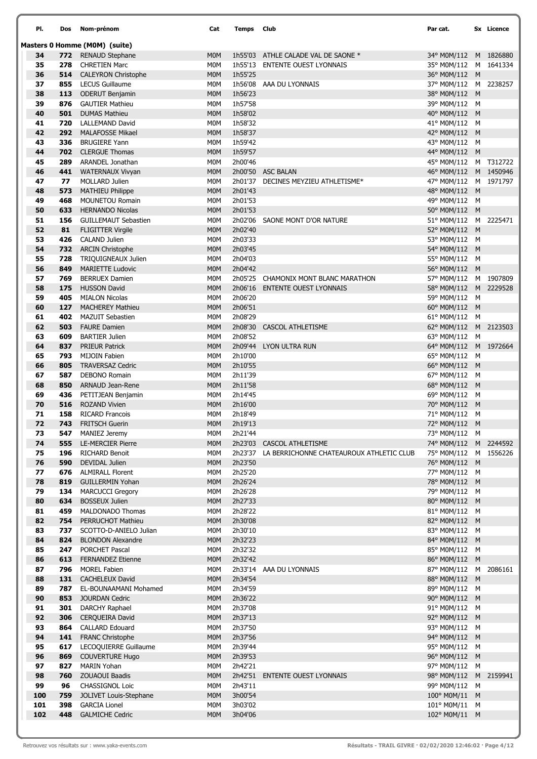| PI.      | Dos        | Nom-prénom                                        | Cat                            | Temps              | Club                                             | Par cat.                               |   | Sx Licence |
|----------|------------|---------------------------------------------------|--------------------------------|--------------------|--------------------------------------------------|----------------------------------------|---|------------|
|          |            | Masters 0 Homme (M0M) (suite)                     |                                |                    |                                                  |                                        |   |            |
| 34       |            | 772 RENAUD Stephane                               | M <sub>0</sub> M               |                    | 1h55'03 ATHLE CALADE VAL DE SAONE *              | 34° M0M/112 M 1826880                  |   |            |
| 35       | 278        | <b>CHRETIEN Marc</b>                              | M0M                            |                    | 1h55'13 ENTENTE OUEST LYONNAIS                   | 35° M0M/112 M 1641334                  |   |            |
| 36       | 514        | <b>CALEYRON Christophe</b>                        | <b>MOM</b>                     | 1h55'25            |                                                  | 36° M0M/112 M                          |   |            |
| 37       | 855        | <b>LECUS Guillaume</b>                            | M0M                            |                    | 1h56'08 AAA DU LYONNAIS                          | 37° M0M/112 M 2238257                  |   |            |
| 38       | 113        | <b>ODERUT Benjamin</b>                            | M <sub>0</sub> M               | 1h56'23            |                                                  | 38° M0M/112 M                          |   |            |
| 39       | 876        | <b>GAUTIER Mathieu</b>                            | M0M                            | 1h57'58            |                                                  | 39° M0M/112 M                          |   |            |
| 40       | 501        | <b>DUMAS Mathieu</b>                              | M <sub>0</sub> M               | 1h58'02            |                                                  | 40° M0M/112 M<br>41° M0M/112 M         |   |            |
| 41<br>42 | 720<br>292 | <b>LALLEMAND David</b><br><b>MALAFOSSE Mikael</b> | M0M<br><b>MOM</b>              | 1h58'32<br>1h58'37 |                                                  | 42° M0M/112 M                          |   |            |
| 43       | 336        | <b>BRUGIERE Yann</b>                              | M0M                            | 1h59'42            |                                                  | 43° M0M/112 M                          |   |            |
| 44       | 702        | <b>CLERGUE Thomas</b>                             | M <sub>0</sub> M               | 1h59'57            |                                                  | 44° M0M/112 M                          |   |            |
| 45       | 289        | ARANDEL Jonathan                                  | M0M                            | 2h00'46            |                                                  | 45° M0M/112 M T312722                  |   |            |
| 46       | 441        | <b>WATERNAUX Vivyan</b>                           | <b>MOM</b>                     |                    | 2h00'50 ASC BALAN                                | 46° M0M/112 M 1450946                  |   |            |
| 47       | 77         | MOLLARD Julien                                    | M <sub>0</sub> M               |                    | 2h01'37 DECINES MEYZIEU ATHLETISME*              | 47° M0M/112 M 1971797                  |   |            |
| 48       | 573        | <b>MATHIEU Philippe</b>                           | <b>MOM</b>                     | 2h01'43            |                                                  | 48° M0M/112 M                          |   |            |
| 49       | 468        | <b>MOUNETOU Romain</b>                            | M0M                            | 2h01'53            |                                                  | 49° M0M/112 M                          |   |            |
| 50       | 633        | <b>HERNANDO Nicolas</b>                           | <b>MOM</b>                     | 2h01'53            |                                                  | 50° M0M/112 M                          |   |            |
| 51       | 156        | <b>GUILLEMAUT Sebastien</b>                       | M0M                            | 2h02'06            | SAONE MONT D'OR NATURE                           | 51° M0M/112 M 2225471                  |   |            |
| 52       | 81         | <b>FLIGITTER Virgile</b>                          | <b>MOM</b>                     | 2h02'40            |                                                  | 52° M0M/112 M                          |   |            |
| 53<br>54 | 426<br>732 | <b>CALAND Julien</b><br><b>ARCIN Christophe</b>   | M <sub>0</sub> M<br><b>MOM</b> | 2h03'33<br>2h03'45 |                                                  | 53° M0M/112 M<br>54° M0M/112 M         |   |            |
| 55       | 728        | TRIQUIGNEAUX Julien                               | M0M                            | 2h04'03            |                                                  | 55° M0M/112 M                          |   |            |
| 56       | 849        | <b>MARIETTE Ludovic</b>                           | <b>MOM</b>                     | 2h04'42            |                                                  | 56° M0M/112 M                          |   |            |
| 57       | 769        | <b>BERRUEX Damien</b>                             | M0M                            |                    | 2h05'25 CHAMONIX MONT BLANC MARATHON             | 57° M0M/112 M 1907809                  |   |            |
| 58       | 175        | <b>HUSSON David</b>                               | <b>MOM</b>                     |                    | 2h06'16 ENTENTE OUEST LYONNAIS                   | 58° M0M/112 M 2229528                  |   |            |
| 59       | 405        | <b>MIALON Nicolas</b>                             | M <sub>0</sub> M               | 2h06'20            |                                                  | 59° M0M/112 M                          |   |            |
| 60       | 127        | <b>MACHEREY Mathieu</b>                           | <b>MOM</b>                     | 2h06'51            |                                                  | 60° M0M/112 M                          |   |            |
| 61       | 402        | <b>MAZUIT Sebastien</b>                           | M0M                            | 2h08'29            |                                                  | 61° M0M/112 M                          |   |            |
| 62       | 503        | <b>FAURE Damien</b>                               | <b>MOM</b>                     |                    | 2h08'30 CASCOL ATHLETISME                        | 62° M0M/112 M 2123503                  |   |            |
| 63       | 609        | <b>BARTIER Julien</b>                             | M0M                            | 2h08'52            |                                                  | 63° M0M/112 M                          |   |            |
| 64       | 837        | <b>PRIEUR Patrick</b>                             | <b>MOM</b>                     |                    | 2h09'44 LYON ULTRA RUN                           | 64° M0M/112 M 1972664                  |   |            |
| 65<br>66 | 793<br>805 | <b>MIJOIN Fabien</b><br><b>TRAVERSAZ Cedric</b>   | M0M<br><b>MOM</b>              | 2h10'00<br>2h10'55 |                                                  | 65° M0M/112 M<br>66° M0M/112 M         |   |            |
| 67       | 587        | <b>DEBONO Romain</b>                              | M0M                            | 2h11'39            |                                                  | 67° M0M/112 M                          |   |            |
| 68       | 850        | ARNAUD Jean-Rene                                  | M <sub>0</sub> M               | 2h11'58            |                                                  | 68° M0M/112 M                          |   |            |
| 69       | 436        | PETITJEAN Benjamin                                | M0M                            | 2h14'45            |                                                  | 69° M0M/112 M                          |   |            |
| 70       | 516        | <b>ROZAND Vivien</b>                              | <b>MOM</b>                     | 2h16'00            |                                                  | 70° M0M/112 M                          |   |            |
| 71       | 158        | <b>RICARD Francois</b>                            | M0M                            | 2h18'49            |                                                  | 71° M0M/112 M                          |   |            |
| 72       | 743        | <b>FRITSCH Guerin</b>                             | <b>MOM</b>                     | 2h19'13            |                                                  | 72° M0M/112                            | M |            |
| 73       | 547        | <b>MANIEZ Jeremy</b>                              | M0M                            | 2h21'44            |                                                  | 73° M0M/112 M                          |   |            |
| 74       | 555        | <b>LE-MERCIER Pierre</b>                          | <b>MOM</b>                     |                    | 2h23'03 CASCOL ATHLETISME                        | 74° M0M/112 M 2244592                  |   |            |
| 75       | 196        | <b>RICHARD Benoit</b>                             | M0M                            |                    | 2h23'37 LA BERRICHONNE CHATEAUROUX ATHLETIC CLUB | 75° M0M/112 M 1556226                  |   |            |
| 76<br>77 | 590<br>676 | DEVIDAL Julien<br><b>ALMIRALL Florent</b>         | <b>MOM</b><br>M0M              | 2h23'50<br>2h25'20 |                                                  | 76° M0M/112 M<br>77° M0M/112 M         |   |            |
| 78       | 819        | <b>GUILLERMIN Yohan</b>                           | <b>MOM</b>                     | 2h26'24            |                                                  | 78° M0M/112 M                          |   |            |
| 79       | 134        | <b>MARCUCCI Gregory</b>                           | M0M                            | 2h26'28            |                                                  | 79° M0M/112 M                          |   |            |
| 80       | 634        | <b>BOSSEUX Julien</b>                             | <b>MOM</b>                     | 2h27'33            |                                                  | 80° M0M/112 M                          |   |            |
| 81       | 459        | MALDONADO Thomas                                  | M0M                            | 2h28'22            |                                                  | 81° M0M/112 M                          |   |            |
| 82       | 754        | PERRUCHOT Mathieu                                 | <b>MOM</b>                     | 2h30'08            |                                                  | 82° M0M/112 M                          |   |            |
| 83       |            | 737 SCOTTO-D-ANIELO Julian                        | M0M                            | 2h30'10            |                                                  | 83° M0M/112 M                          |   |            |
| 84       | 824        | <b>BLONDON Alexandre</b>                          | <b>MOM</b>                     | 2h32'23            |                                                  | 84° M0M/112 M                          |   |            |
| 85       | 247        | PORCHET Pascal                                    | M0M                            | 2h32'32            |                                                  | 85° M0M/112 M                          |   |            |
| 86       | 613        | FERNANDEZ Etienne                                 | <b>MOM</b>                     | 2h32'42            |                                                  | 86° M0M/112 M                          |   |            |
| 87<br>88 | 796<br>131 | <b>MOREL Fabien</b><br><b>CACHELEUX David</b>     | <b>MOM</b><br><b>MOM</b>       | 2h34'54            | 2h33'14 AAA DU LYONNAIS                          | 87° M0M/112 M 2086161<br>88° M0M/112 M |   |            |
| 89       | 787        | EL-BOUNAAMANI Mohamed                             | M0M                            | 2h34'59            |                                                  | 89° M0M/112 M                          |   |            |
| 90       | 853        | <b>JOURDAN Cedric</b>                             | <b>MOM</b>                     | 2h36'22            |                                                  | 90° M0M/112 M                          |   |            |
| 91       | 301        | DARCHY Raphael                                    | M0M                            | 2h37'08            |                                                  | 91° M0M/112 M                          |   |            |
| 92       | 306        | <b>CERQUEIRA David</b>                            | <b>MOM</b>                     | 2h37'13            |                                                  | 92° M0M/112 M                          |   |            |
| 93       | 864        | <b>CALLARD Edouard</b>                            | M0M                            | 2h37'50            |                                                  | 93° M0M/112 M                          |   |            |
| 94       | 141        | <b>FRANC Christophe</b>                           | <b>MOM</b>                     | 2h37'56            |                                                  | 94° M0M/112 M                          |   |            |
| 95       | 617        | LECOQUIERRE Guillaume                             | M0M                            | 2h39'44            |                                                  | 95° M0M/112 M                          |   |            |
| 96       | 869        | <b>COUVERTURE Hugo</b>                            | <b>MOM</b>                     | 2h39'53            |                                                  | 96° M0M/112 M                          |   |            |
| 97       | 827        | <b>MARIN Yohan</b>                                | M0M                            | 2h42'21            |                                                  | 97° M0M/112 M                          |   |            |
| 98<br>99 | 760        | <b>ZOUAOUI Baadis</b><br><b>CHASSIGNOL Loic</b>   | <b>MOM</b><br><b>MOM</b>       | 2h43'11            | 2h42'51 ENTENTE OUEST LYONNAIS                   | 98° M0M/112 M 2159941<br>99° M0M/112 M |   |            |
| 100      | 96<br>759  | JOLIVET Louis-Stephane                            | <b>MOM</b>                     | 3h00'54            |                                                  | 100° M0M/11 M                          |   |            |
| 101      | 398        | <b>GARCIA Lionel</b>                              | M0M                            | 3h03'02            |                                                  | 101° M0M/11 M                          |   |            |
| 102      | 448        | <b>GALMICHE Cedric</b>                            | M <sub>0</sub> M               | 3h04'06            |                                                  | 102° M0M/11 M                          |   |            |
|          |            |                                                   |                                |                    |                                                  |                                        |   |            |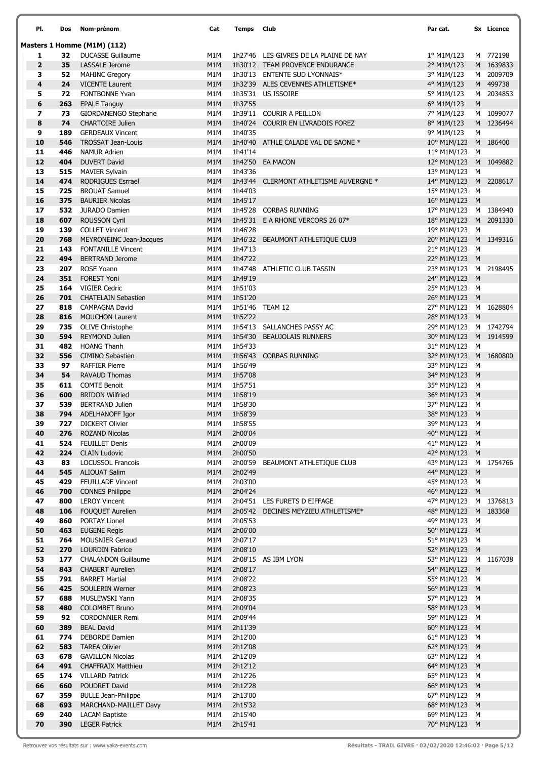| PI.            | Dos        | Nom-prénom                                         | Cat        | Temps              | Club                                                                | Par cat.                               |        | <b>Sx</b> Licence      |
|----------------|------------|----------------------------------------------------|------------|--------------------|---------------------------------------------------------------------|----------------------------------------|--------|------------------------|
|                |            | Masters 1 Homme (M1M) (112)                        |            |                    |                                                                     |                                        |        |                        |
| 1              | 32         | <b>DUCASSE Guillaume</b>                           | M1M        |                    | 1h27'46 LES GIVRES DE LA PLAINE DE NAY                              | 1° M1M/123                             |        | M 772198               |
| $\overline{2}$ | 35         | <b>LASSALE Jerome</b>                              | M1M        |                    | 1h30'12 TEAM PROVENCE ENDURANCE                                     | 2° M1M/123                             |        | M 1639833              |
| 3              | 52         | <b>MAHINC Gregory</b>                              | M1M        |                    | 1h30'13 ENTENTE SUD LYONNAIS*                                       | 3° M1M/123                             |        | M 2009709              |
| 4              | 24         | <b>VICENTE Laurent</b>                             | M1M        |                    | 1h32'39 ALES CEVENNES ATHLETISME*                                   | 4° M1M/123                             |        | M 499738               |
| 5              | 72         | <b>FONTBONNE Yvan</b>                              | M1M        |                    | 1h35'31 US ISSOIRE                                                  | 5° M1M/123                             |        | M 2034853              |
| 6              | 263        | <b>EPALE Tanguy</b>                                | M1M        | 1h37'55            |                                                                     | 6° M1M/123                             | M      |                        |
| 7              | 73         | GIORDANENGO Stephane                               | M1M        |                    | 1h39'11 COURIR A PEILLON<br>1h40'24 COURIR EN LIVRADOIS FOREZ       | 7° M1M/123                             |        | M 1099077<br>M 1236494 |
| 8<br>9         | 74<br>189  | <b>CHARTOIRE Julien</b><br><b>GERDEAUX Vincent</b> | M1M<br>M1M | 1h40'35            |                                                                     | 8° M1M/123<br>9° M1M/123               | М      |                        |
| 10             | 546        | <b>TROSSAT Jean-Louis</b>                          | M1M        |                    | 1h40'40 ATHLE CALADE VAL DE SAONE *                                 | 10° M1M/123                            |        | M 186400               |
| 11             | 446        | <b>NAMUR Adrien</b>                                | M1M        | 1h41'14            |                                                                     | 11° M1M/123                            | M      |                        |
| 12             | 404        | <b>DUVERT David</b>                                | M1M        |                    | 1h42'50 EA MACON                                                    | 12° M1M/123                            |        | M 1049882              |
| 13             | 515        | <b>MAVIER Sylvain</b>                              | M1M        | 1h43'36            |                                                                     | 13° M1M/123                            | M      |                        |
| 14             | 474        | <b>RODRIGUES Esrrael</b>                           | M1M        |                    | 1h43'44 CLERMONT ATHLETISME AUVERGNE *                              | 14° M1M/123                            |        | M 2208617              |
| 15             | 725        | <b>BROUAT Samuel</b>                               | M1M        | 1h44'03            |                                                                     | 15° M1M/123                            | M      |                        |
| 16             | 375        | <b>BAURIER Nicolas</b>                             | M1M        | 1h45'17            |                                                                     | 16° M1M/123 M                          |        |                        |
| 17             | 532        | JURADO Damien                                      | M1M        | 1h45'28            | <b>CORBAS RUNNING</b>                                               | 17° M1M/123 M 1384940                  |        |                        |
| 18<br>19       | 607<br>139 | <b>ROUSSON Cyril</b><br><b>COLLET Vincent</b>      | M1M<br>M1M | 1h46'28            | 1h45'31 E A RHONE VERCORS 26 07*                                    | 18° M1M/123 M 2091330<br>19° M1M/123 M |        |                        |
| 20             | 768        | <b>MEYRONEINC Jean-Jacques</b>                     | M1M        |                    | 1h46'32 BEAUMONT ATHLETIQUE CLUB                                    | 20° M1M/123 M 1349316                  |        |                        |
| 21             | 143        | <b>FONTANILLE Vincent</b>                          | M1M        | 1h47'13            |                                                                     | 21° M1M/123                            | M      |                        |
| 22             | 494        | <b>BERTRAND Jerome</b>                             | M1M        | 1h47'22            |                                                                     | 22° M1M/123 M                          |        |                        |
| 23             | 207        | ROSE Yoann                                         | M1M        |                    | 1h47'48 ATHLETIC CLUB TASSIN                                        | 23° M1M/123                            |        | M 2198495              |
| 24             | 351        | <b>FOREST Yoni</b>                                 | M1M        | 1h49'19            |                                                                     | 24° M1M/123                            | M      |                        |
| 25             | 164        | <b>VIGIER Cedric</b>                               | M1M        | 1h51'03            |                                                                     | 25° M1M/123 M                          |        |                        |
| 26             | 701        | <b>CHATELAIN Sebastien</b>                         | M1M        | 1h51'20            |                                                                     | 26° M1M/123 M                          |        |                        |
| 27             | 818        | <b>CAMPAGNA David</b>                              | M1M        |                    | 1h51'46 TEAM 12                                                     | 27° M1M/123                            |        | M 1628804              |
| 28<br>29       | 816<br>735 | <b>MOUCHON Laurent</b>                             | M1M<br>M1M | 1h52'22            | 1h54'13 SALLANCHES PASSY AC                                         | 28° M1M/123 M<br>29° M1M/123 M 1742794 |        |                        |
| 30             | 594        | <b>OLIVE Christophe</b><br><b>REYMOND Julien</b>   | M1M        |                    | 1h54'30 BEAUJOLAIS RUNNERS                                          | 30° M1M/123 M 1914599                  |        |                        |
| 31             | 482        | <b>HOANG Thanh</b>                                 | M1M        | 1h54'33            |                                                                     | 31° M1M/123 M                          |        |                        |
| 32             | 556        | <b>CIMINO Sebastien</b>                            | M1M        |                    | 1h56'43 CORBAS RUNNING                                              | 32° M1M/123                            |        | M 1680800              |
| 33             | 97         | <b>RAFFIER Pierre</b>                              | M1M        | 1h56'49            |                                                                     | 33° M1M/123 M                          |        |                        |
| 34             | 54         | <b>RAVAUD Thomas</b>                               | M1M        | 1h57'08            |                                                                     | 34° M1M/123 M                          |        |                        |
| 35             | 611        | <b>COMTE Benoit</b>                                | M1M        | 1h57'51            |                                                                     | 35° M1M/123                            | M      |                        |
| 36             | 600        | <b>BRIDON Wilfried</b>                             | M1M        | 1h58'19            |                                                                     | 36° M1M/123                            | M      |                        |
| 37             | 539        | <b>BERTRAND Julien</b><br>ADELHANOFF Igor          | M1M        | 1h58'30<br>1h58'39 |                                                                     | 37° M1M/123                            | M      |                        |
| 38<br>39       | 794<br>727 | <b>DICKERT Olivier</b>                             | M1M<br>M1M | 1h58'55            |                                                                     | 38° M1M/123<br>39° M1M/123             | M<br>м |                        |
| 40             | 276        | <b>ROZAND Nicolas</b>                              | M1M        | 2h00'04            |                                                                     | 40° M1M/123 M                          |        |                        |
| 41             | 524        | <b>FEUILLET Denis</b>                              | M1M        | 2h00'09            |                                                                     | 41° M1M/123 M                          |        |                        |
| 42             | 224        | <b>CLAIN Ludovic</b>                               | M1M        | 2h00'50            |                                                                     | 42° M1M/123 M                          |        |                        |
| 43             | 83         | <b>LOCUSSOL Francois</b>                           | M1M        |                    | 2h00'59 BEAUMONT ATHLETIQUE CLUB                                    | 43° M1M/123 M 1754766                  |        |                        |
| 44             | 545        | <b>ALIOUAT Salim</b>                               | M1M        | 2h02'49            |                                                                     | 44° M1M/123 M                          |        |                        |
| 45             | 429        | <b>FEUILLADE Vincent</b>                           | M1M        | 2h03'00            |                                                                     | 45° M1M/123 M                          |        |                        |
| 46             | 700        | <b>CONNES Philippe</b>                             | M1M        | 2h04'24            |                                                                     | 46° M1M/123 M                          |        |                        |
| 47<br>48       | 800<br>106 | <b>LEROY Vincent</b><br>FOUQUET Aurelien           | M1M<br>M1M |                    | 2h04'51 LES FURETS D EIFFAGE<br>2h05'42 DECINES MEYZIEU ATHLETISME* | 47° M1M/123<br>48° M1M/123 M 183368    |        | M 1376813              |
| 49             | 860        | PORTAY Lionel                                      | M1M        | 2h05'53            |                                                                     | 49° M1M/123 M                          |        |                        |
| 50             | 463        | <b>EUGENE Regis</b>                                | M1M        | 2h06'00            |                                                                     | 50° M1M/123 M                          |        |                        |
| 51             | 764        | <b>MOUSNIER Geraud</b>                             | M1M        | 2h07'17            |                                                                     | 51° M1M/123 M                          |        |                        |
| 52             | 270        | <b>LOURDIN Fabrice</b>                             | M1M        | 2h08'10            |                                                                     | 52° M1M/123 M                          |        |                        |
| 53             | 177        | <b>CHALANDON Guillaume</b>                         | M1M        |                    | 2h08'15 AS IBM LYON                                                 | 53° M1M/123 M 1167038                  |        |                        |
| 54             | 843        | <b>CHABERT Aurelien</b>                            | M1M        | 2h08'17            |                                                                     | 54° M1M/123 M                          |        |                        |
| 55             | 791        | <b>BARRET Martial</b>                              | M1M        | 2h08'22            |                                                                     | 55° M1M/123 M                          |        |                        |
| 56<br>57       | 425<br>688 | SOULERIN Werner<br>MUSLEWSKI Yann                  | M1M<br>M1M | 2h08'23<br>2h08'35 |                                                                     | 56° M1M/123 M<br>57° M1M/123 M         |        |                        |
| 58             | 480        | <b>COLOMBET Bruno</b>                              | M1M        | 2h09'04            |                                                                     | 58° M1M/123 M                          |        |                        |
| 59             | 92         | <b>CORDONNIER Remi</b>                             | M1M        | 2h09'44            |                                                                     | 59° M1M/123 M                          |        |                        |
| 60             | 389        | <b>BEAL David</b>                                  | M1M        | 2h11'39            |                                                                     | 60° M1M/123 M                          |        |                        |
| 61             | 774        | <b>DEBORDE Damien</b>                              | M1M        | 2h12'00            |                                                                     | 61° M1M/123 M                          |        |                        |
| 62             | 583        | <b>TAREA Olivier</b>                               | M1M        | 2h12'08            |                                                                     | 62° M1M/123 M                          |        |                        |
| 63             | 678        | <b>GAVILLON Nicolas</b>                            | M1M        | 2h12'09            |                                                                     | 63° M1M/123 M                          |        |                        |
| 64             | 491        | <b>CHAFFRAIX Matthieu</b>                          | M1M        | 2h12'12            |                                                                     | 64° M1M/123 M                          |        |                        |
| 65<br>66       | 174<br>660 | <b>VILLARD Patrick</b><br>POUDRET David            | M1M<br>M1M | 2h12'26<br>2h12'28 |                                                                     | 65° M1M/123<br>66° M1M/123 M           | M      |                        |
| 67             | 359        | <b>BULLE Jean-Philippe</b>                         | M1M        | 2h13'00            |                                                                     | 67° M1M/123 M                          |        |                        |
| 68             | 693        | MARCHAND-MAILLET Davy                              | M1M        | 2h15'32            |                                                                     | 68° M1M/123 M                          |        |                        |
| 69             | 240        | <b>LACAM Baptiste</b>                              | M1M        | 2h15'40            |                                                                     | 69° M1M/123 M                          |        |                        |
| 70             | 390        | <b>LEGER Patrick</b>                               | M1M        | 2h15'41            |                                                                     | 70° M1M/123 M                          |        |                        |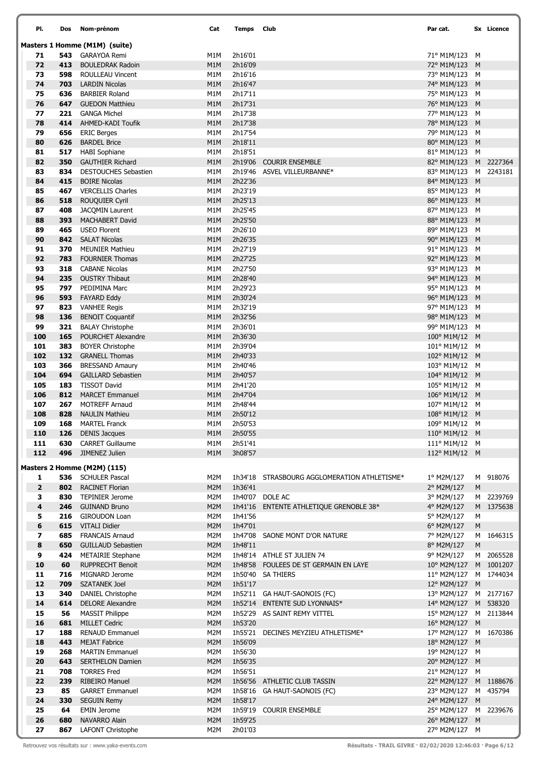| PI.                          | Dos        | Nom-prénom                                            | Cat        | Temps              | Club                                         | Par cat.                                |           | Sx Licence |
|------------------------------|------------|-------------------------------------------------------|------------|--------------------|----------------------------------------------|-----------------------------------------|-----------|------------|
|                              |            | Masters 1 Homme (M1M) (suite)                         |            |                    |                                              |                                         |           |            |
| 71                           |            | 543 GARAYOA Remi                                      | M1M        | 2h16'01            |                                              | 71° M1M/123 M                           |           |            |
| 72                           | 413        | <b>BOULEDRAK Radoin</b>                               | M1M        | 2h16'09            |                                              | 72° M1M/123 M                           |           |            |
| 73                           | 598        | ROULLEAU Vincent                                      | M1M        | 2h16'16            |                                              | 73° M1M/123 M                           |           |            |
| 74<br>75                     | 703<br>636 | <b>LARDIN Nicolas</b><br><b>BARBIER Roland</b>        | M1M<br>M1M | 2h16'47<br>2h17'11 |                                              | 74° M1M/123 M<br>75° M1M/123 M          |           |            |
| 76                           | 647        | <b>GUEDON Matthieu</b>                                | M1M        | 2h17'31            |                                              | 76° M1M/123 M                           |           |            |
| 77                           |            | 221 GANGA Michel                                      | M1M        | 2h17'38            |                                              | 77° M1M/123 M                           |           |            |
| 78                           | 414        | AHMED-KADI Toufik                                     | M1M        | 2h17'38            |                                              | 78° M1M/123 M                           |           |            |
| 79                           | 656        | <b>ERIC Berges</b>                                    | M1M        | 2h17'54            |                                              | 79° M1M/123 M                           |           |            |
| 80                           | 626        | <b>BARDEL Brice</b>                                   | M1M        | 2h18'11            |                                              | 80° M1M/123 M                           |           |            |
| 81                           | 517        | <b>HABI Sophiane</b>                                  | M1M        | 2h18'51            |                                              | 81° M1M/123 M                           |           |            |
| 82                           | 350        | <b>GAUTHIER Richard</b>                               | M1M        |                    | 2h19'06 COURIR ENSEMBLE                      | 82° M1M/123 M 2227364                   |           |            |
| 83<br>84                     | 834<br>415 | DESTOUCHES Sebastien<br><b>BOIRE Nicolas</b>          | M1M<br>M1M | 2h22'36            | 2h19'46 ASVEL VILLEURBANNE*                  | 83° M1M/123 M 2243181<br>84° M1M/123 M  |           |            |
| 85                           | 467        | <b>VERCELLIS Charles</b>                              | M1M        | 2h23'19            |                                              | 85° M1M/123 M                           |           |            |
| 86                           | 518        | <b>ROUQUIER Cyril</b>                                 | M1M        | 2h25'13            |                                              | 86° M1M/123 M                           |           |            |
| 87                           | 408        | JACOMIN Laurent                                       | M1M        | 2h25'45            |                                              | 87° M1M/123 M                           |           |            |
| 88                           | 393        | <b>MACHABERT David</b>                                | M1M        | 2h25'50            |                                              | 88° M1M/123 M                           |           |            |
| 89                           | 465        | <b>USEO Florent</b>                                   | M1M        | 2h26'10            |                                              | 89° M1M/123 M                           |           |            |
| 90                           | 842        | <b>SALAT Nicolas</b>                                  | M1M        | 2h26'35            |                                              | 90° M1M/123 M                           |           |            |
| 91                           | 370        | <b>MEUNIER Mathieu</b>                                | M1M        | 2h27'19            |                                              | 91° M1M/123 M                           |           |            |
| 92                           | 783        | <b>FOURNIER Thomas</b>                                | M1M        | 2h27'25            |                                              | 92° M1M/123 M                           |           |            |
| 93<br>94                     | 318<br>235 | <b>CABANE Nicolas</b><br><b>OUSTRY Thibaut</b>        | M1M<br>M1M | 2h27'50<br>2h28'40 |                                              | 93° M1M/123 M<br>94° M1M/123 M          |           |            |
| 95                           | 797        | PEDIMINA Marc                                         | M1M        | 2h29'23            |                                              | 95° M1M/123 M                           |           |            |
| 96                           | 593        | <b>FAYARD Eddy</b>                                    | M1M        | 2h30'24            |                                              | 96° M1M/123 M                           |           |            |
| 97                           |            | 823 VANHEE Regis                                      | M1M        | 2h32'19            |                                              | 97° M1M/123 M                           |           |            |
| 98                           | 136        | <b>BENOIT Coquantif</b>                               | M1M        | 2h32'56            |                                              | 98° M1M/123 M                           |           |            |
| 99                           | 321        | <b>BALAY Christophe</b>                               | M1M        | 2h36'01            |                                              | 99° M1M/123 M                           |           |            |
| 100                          | 165        | POURCHET Alexandre                                    | M1M        | 2h36'30            |                                              | 100° M1M/12 M                           |           |            |
| 101                          | 383        | <b>BOYER Christophe</b>                               | M1M        | 2h39'04            |                                              | 101° M1M/12 M                           |           |            |
| 102<br>103                   | 132<br>366 | <b>GRANELL Thomas</b><br><b>BRESSAND Amaury</b>       | M1M<br>M1M | 2h40'33<br>2h40'46 |                                              | 102° M1M/12 M<br>$103^{\circ}$ M1M/12 M |           |            |
| 104                          | 694        | <b>GAILLARD Sebastien</b>                             | M1M        | 2h40'57            |                                              | 104° M1M/12 M                           |           |            |
| 105                          | 183        | <b>TISSOT David</b>                                   | M1M        | 2h41'20            |                                              | 105° M1M/12 M                           |           |            |
| 106                          |            | 812 MARCET Emmanuel                                   | M1M        | 2h47'04            |                                              | 106° M1M/12 M                           |           |            |
| 107                          | 267        | <b>MOTREFF Arnaud</b>                                 | M1M        | 2h48'44            |                                              | 107° M1M/12 M                           |           |            |
| 108                          | 828        | <b>NAULIN Mathieu</b>                                 | M1M        | 2h50'12            |                                              | 108° M1M/12 M                           |           |            |
| 109                          | 168        | <b>MARTEL Franck</b>                                  | M1M        | 2h50'53            |                                              | 109° M1M/12 M                           |           |            |
| 110<br>111                   | 126        | <b>DENIS Jacques</b><br>630 CARRET Guillaume          | M1M<br>M1M | 2h50'55<br>2h51'41 |                                              | 110° M1M/12 M<br>111° M1M/12 M          |           |            |
| 112                          |            | 496 JIMENEZ Julien                                    | M1M        | 3h08'57            |                                              | 112° M1M/12 M                           |           |            |
|                              |            |                                                       |            |                    |                                              |                                         |           |            |
|                              |            | Masters 2 Homme (M2M) (115)<br>536 SCHULER Pascal     |            |                    | 1h34'18 STRASBOURG AGGLOMERATION ATHLETISME* |                                         |           | M 918076   |
| 1<br>$\overline{\mathbf{2}}$ |            | 802 RACINET Florian                                   | M2M<br>M2M | 1h36'41            |                                              | 1º M2M/127<br>2° M2M/127                | ${\sf M}$ |            |
| з                            |            | 830 TEPINIER Jerome                                   | M2M        |                    | 1h40'07 DOLE AC                              | 3° M2M/127                              |           | M 2239769  |
| 4                            | 246        | <b>GUINAND Bruno</b>                                  | M2M        |                    | 1h41'16 ENTENTE ATHLETIQUE GRENOBLE 38*      | 4° M2M/127                              |           | M 1375638  |
| 5                            | 216        | <b>GIROUDON Loan</b>                                  | M2M        | 1h41'56            |                                              | 5° M2M/127                              | М         |            |
| 6                            | 615        | <b>VITALI Didier</b>                                  | M2M        | 1h47'01            |                                              | 6° M2M/127                              | M         |            |
| 7                            | 685        | <b>FRANCAIS Arnaud</b>                                | M2M        |                    | 1h47'08 SAONE MONT D'OR NATURE               | 7° M2M/127                              |           | M 1646315  |
| 8<br>9                       | 650<br>424 | <b>GUILLAUD Sebastien</b><br><b>METAIRIE Stephane</b> | M2M<br>M2M | 1h48'11            | 1h48'14 ATHLE ST JULIEN 74                   | 8° M2M/127<br>9° M2M/127                | ${\sf M}$ | M 2065528  |
| 10                           | 60         | <b>RUPPRECHT Benoit</b>                               | M2M        |                    | 1h48'58 FOULEES DE ST GERMAIN EN LAYE        | 10° M2M/127 M 1001207                   |           |            |
| 11                           | 716        | MIGNARD Jerome                                        | M2M        |                    | 1h50'40 SA THIERS                            | 11° M2M/127 M 1744034                   |           |            |
| 12                           | 709        | <b>SZATANEK Joel</b>                                  | M2M        | 1h51'17            |                                              | 12° M2M/127 M                           |           |            |
| 13                           | 340        | DANIEL Christophe                                     | M2M        |                    | 1h52'11 GA HAUT-SAONOIS (FC)                 | 13° M2M/127 M 2177167                   |           |            |
| 14                           | 614        | <b>DELORE Alexandre</b>                               | M2M        |                    | 1h52'14 ENTENTE SUD LYONNAIS*                | 14° M2M/127 M 538320                    |           |            |
| 15                           | 56         | <b>MASSIT Philippe</b>                                | M2M        |                    | 1h52'29 AS SAINT REMY VITTEL                 | 15° M2M/127 M 2113844                   |           |            |
| 16                           | 681        | <b>MILLET Cedric</b>                                  | M2M        | 1h53'20            |                                              | 16° M2M/127 M                           |           |            |
| 17<br>18                     | 188<br>443 | <b>RENAUD Emmanuel</b><br><b>MEJAT Fabrice</b>        | M2M<br>M2M | 1h56'09            | 1h55'21 DECINES MEYZIEU ATHLETISME*          | 17° M2M/127 M 1670386<br>18° M2M/127 M  |           |            |
| 19                           | 268        | <b>MARTIN Emmanuel</b>                                | M2M        | 1h56'30            |                                              | 19° M2M/127 M                           |           |            |
| 20                           | 643        | <b>SERTHELON Damien</b>                               | M2M        | 1h56'35            |                                              | 20° M2M/127 M                           |           |            |
| 21                           | 708        | <b>TORRES Fred</b>                                    | M2M        | 1h56'51            |                                              | 21° M2M/127 M                           |           |            |
| 22                           | 239        | <b>RIBEIRO Manuel</b>                                 | M2M        |                    | 1h56'56 ATHLETIC CLUB TASSIN                 | 22° M2M/127 M 1188676                   |           |            |
| 23                           | 85         | <b>GARRET Emmanuel</b>                                | M2M        |                    | 1h58'16 GA HAUT-SAONOIS (FC)                 | 23° M2M/127 M 435794                    |           |            |
| 24                           | 330        | <b>SEGUIN Remy</b>                                    | M2M        | 1h58'17            |                                              | 24° M2M/127 M                           |           |            |
| 25<br>26                     | 64<br>680  | <b>EMIN Jerome</b><br>NAVARRO Alain                   | M2M<br>M2M | 1h59'25            | 1h59'19 COURIR ENSEMBLE                      | 25° M2M/127 M 2239676<br>26° M2M/127 M  |           |            |
| 27                           |            | 867 LAFONT Christophe                                 | M2M        | 2h01'03            |                                              | 27° M2M/127 M                           |           |            |

Í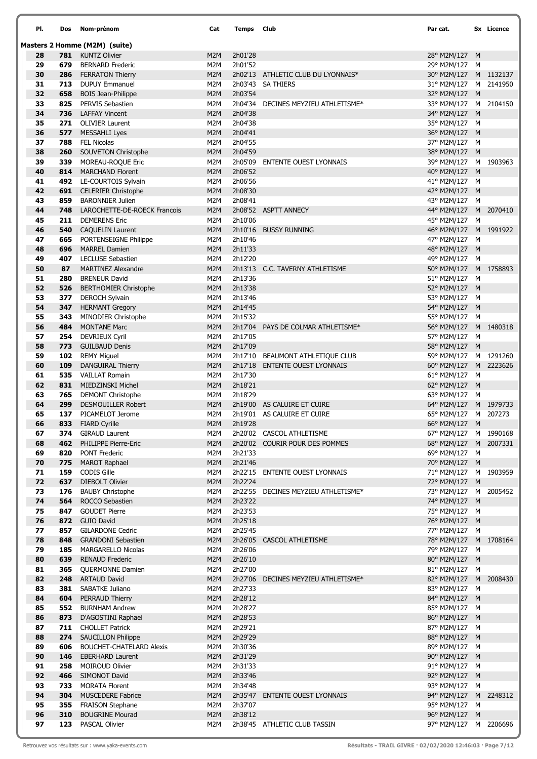| PI.      | Dos        | Nom-prénom                                   | Cat        | Temps              | <b>Club</b>                         | Par cat.                               | Sx Licence |
|----------|------------|----------------------------------------------|------------|--------------------|-------------------------------------|----------------------------------------|------------|
|          |            | Masters 2 Homme (M2M) (suite)                |            |                    |                                     |                                        |            |
| 28       |            | 781 KUNTZ Olivier                            | M2M        | 2h01'28            |                                     | 28° M2M/127 M                          |            |
| 29       | 679        | <b>BERNARD Frederic</b>                      | M2M        | 2h01'52            |                                     | 29° M2M/127 M                          |            |
| 30       | 286        | <b>FERRATON Thierry</b>                      | M2M        |                    | 2h02'13 ATHLETIC CLUB DU LYONNAIS*  | 30° M2M/127 M 1132137                  |            |
| 31       |            | 713 DUPUY Emmanuel                           | M2M        |                    | 2h03'43 SA THIERS                   | 31° M2M/127 M 2141950                  |            |
| 32       | 658        | <b>BOIS Jean-Philippe</b>                    | M2M        | 2h03'54            |                                     | 32° M2M/127 M                          |            |
| 33       | 825        | PERVIS Sebastien                             | M2M        |                    | 2h04'34 DECINES MEYZIEU ATHLETISME* | 33° M2M/127 M 2104150                  |            |
| 34       | 736        | <b>LAFFAY Vincent</b>                        | M2M        | 2h04'38            |                                     | 34° M2M/127 M                          |            |
| 35       | 271        | <b>OLIVIER Laurent</b>                       | M2M        | 2h04'38            |                                     | 35° M2M/127 M                          |            |
| 36       | 577        | MESSAHLI Lyes                                | M2M        | 2h04'41            |                                     | 36° M2M/127 M                          |            |
| 37       | 788        | <b>FEL Nicolas</b>                           | M2M        | 2h04'55            |                                     | 37° M2M/127 M                          |            |
| 38       | 260        | SOUVETON Christophe                          | M2M        | 2h04'59            |                                     | 38° M2M/127 M                          |            |
| 39<br>40 | 339<br>814 | MOREAU-ROQUE Eric<br><b>MARCHAND Florent</b> | M2M<br>M2M | 2h06'52            | 2h05'09 ENTENTE OUEST LYONNAIS      | 39° M2M/127 M 1903963<br>40° M2M/127 M |            |
| 41       | 492        | LE-COURTOIS Sylvain                          | M2M        | 2h06'56            |                                     | 41° M2M/127 M                          |            |
| 42       | 691        | <b>CELERIER Christophe</b>                   | M2M        | 2h08'30            |                                     | 42° M2M/127 M                          |            |
| 43       | 859        | <b>BARONNIER Julien</b>                      | M2M        | 2h08'41            |                                     | 43° M2M/127 M                          |            |
| 44       | 748        | LAROCHETTE-DE-ROECK Francois                 | M2M        |                    | 2h08'52 ASPTT ANNECY                | 44° M2M/127 M 2070410                  |            |
| 45       | 211        | <b>DEMERENS Eric</b>                         | M2M        | 2h10'06            |                                     | 45° M2M/127 M                          |            |
| 46       | 540        | <b>CAQUELIN Laurent</b>                      | M2M        |                    | 2h10'16 BUSSY RUNNING               | 46° M2M/127 M 1991922                  |            |
| 47       | 665        | PORTENSEIGNE Philippe                        | M2M        | 2h10'46            |                                     | 47° M2M/127 M                          |            |
| 48       | 696        | <b>MARREL Damien</b>                         | M2M        | 2h11'33            |                                     | 48° M2M/127 M                          |            |
| 49       | 407        | <b>LECLUSE Sebastien</b>                     | M2M        | 2h12'20            |                                     | 49° M2M/127 M                          |            |
| 50       | 87         | <b>MARTINEZ Alexandre</b>                    | M2M        |                    | 2h13'13 C.C. TAVERNY ATHLETISME     | 50° M2M/127 M 1758893                  |            |
| 51       | 280        | <b>BRENEUR David</b>                         | M2M        | 2h13'36            |                                     | 51° M2M/127 M                          |            |
| 52       | 526        | <b>BERTHOMIER Christophe</b>                 | M2M        | 2h13'38            |                                     | 52° M2M/127 M                          |            |
| 53       | 377        | DEROCH Sylvain                               | M2M        | 2h13'46            |                                     | 53° M2M/127 M                          |            |
| 54       | 347        | <b>HERMANT Gregory</b>                       | M2M        | 2h14'45            |                                     | 54° M2M/127 M                          |            |
| 55       | 343        | MINODIER Christophe                          | M2M        | 2h15'32            |                                     | 55° M2M/127 M                          |            |
| 56       | 484        | <b>MONTANE Marc</b>                          | M2M        |                    | 2h17'04 PAYS DE COLMAR ATHLETISME*  | 56° M2M/127 M 1480318                  |            |
| 57       | 254        | <b>DEVRIEUX Cyril</b>                        | M2M        | 2h17'05            |                                     | 57° M2M/127 M                          |            |
| 58       | 773        | <b>GUILBAUD Denis</b>                        | M2M        | 2h17'09            |                                     | 58° M2M/127 M                          |            |
| 59       | 102        | <b>REMY Miguel</b>                           | M2M        |                    | 2h17'10 BEAUMONT ATHLETIQUE CLUB    | 59° M2M/127 M 1291260                  |            |
| 60       | 109        | <b>DANGUIRAL Thierry</b>                     | M2M        |                    | 2h17'18 ENTENTE OUEST LYONNAIS      | 60° M2M/127 M 2223626                  |            |
| 61       | 535        | <b>VAILLAT Romain</b>                        | M2M        | 2h17'30            |                                     | 61° M2M/127 M                          |            |
| 62       | 831        | MIEDZINSKI Michel                            | M2M        | 2h18'21            |                                     | 62° M2M/127 M                          |            |
| 63       |            | <b>765</b> DEMONT Christophe                 | M2M        | 2h18'29            |                                     | 63° M2M/127 M                          |            |
| 64       | 299        | <b>DESMOUILLER Robert</b>                    | M2M        |                    | 2h19'00 AS CALUIRE ET CUIRE         | 64° M2M/127 M 1979733                  |            |
| 65<br>66 | 137<br>833 | PICAMELOT Jerome                             | M2M<br>M2M |                    | 2h19'01 AS CALUIRE ET CUIRE         | 65° M2M/127 M 207273                   |            |
| 67       |            | <b>FIARD Cyrille</b><br>374 GIRAUD Laurent   | M2M        | 2h19'28            | 2h20'02 CASCOL ATHLETISME           | 66° M2M/127 M<br>67° M2M/127 M 1990168 |            |
| 68       | 462        | PHILIPPE Pierre-Eric                         | M2M        |                    | 2h20'02 COURIR POUR DES POMMES      | 68° M2M/127 M 2007331                  |            |
| 69       | 820        | <b>PONT Frederic</b>                         | M2M        | 2h21'33            |                                     | 69° M2M/127 M                          |            |
| 70       | 775        | <b>MAROT Raphael</b>                         | M2M        | 2h21'46            |                                     | 70° M2M/127 M                          |            |
| 71       | 159        | CODIS Gille                                  | M2M        |                    | 2h22'15 ENTENTE OUEST LYONNAIS      | 71° M2M/127 M 1903959                  |            |
| 72       | 637        | DIEBOLT Olivier                              | M2M        | 2h22'24            |                                     | 72° M2M/127 M                          |            |
| 73       | 176        | <b>BAUBY Christophe</b>                      | M2M        |                    | 2h22'55 DECINES MEYZIEU ATHLETISME* | 73° M2M/127 M 2005452                  |            |
| 74       | 564        | ROCCO Sebastien                              | M2M        | 2h23'22            |                                     | 74° M2M/127 M                          |            |
| 75       | 847        | <b>GOUDET Pierre</b>                         | M2M        | 2h23'53            |                                     | 75° M2M/127 M                          |            |
| 76       | 872        | <b>GUIO David</b>                            | M2M        | 2h25'18            |                                     | 76° M2M/127 M                          |            |
| 77       | 857        | <b>GILARDONE Cedric</b>                      | M2M        | 2h25'45            |                                     | 77° M2M/127 M                          |            |
| 78       | 848        | <b>GRANDONI Sebastien</b>                    | M2M        |                    | 2h26'05 CASCOL ATHLETISME           | 78° M2M/127 M 1708164                  |            |
| 79       | 185        | <b>MARGARELLO Nicolas</b>                    | M2M        | 2h26'06            |                                     | 79° M2M/127 M                          |            |
| 80       | 639        | <b>RENAUD Frederic</b>                       | M2M        | 2h26'10            |                                     | 80° M2M/127 M                          |            |
| 81       | 365        | QUERMONNE Damien                             | M2M        | 2h27'00            |                                     | 81° M2M/127 M                          |            |
| 82       | 248        | <b>ARTAUD David</b>                          | M2M        |                    | 2h27'06 DECINES MEYZIEU ATHLETISME* | 82° M2M/127 M 2008430                  |            |
| 83       | 381        | SABATKE Juliano                              | M2M        | 2h27'33            |                                     | 83° M2M/127 M                          |            |
| 84       | 604        | <b>PERRAUD Thierry</b>                       | M2M        | 2h28'12            |                                     | 84° M2M/127 M                          |            |
| 85<br>86 | 873        | 552 BURNHAM Andrew<br>D'AGOSTINI Raphael     | M2M<br>M2M | 2h28'27<br>2h28'53 |                                     | 85° M2M/127 M<br>86° M2M/127 M         |            |
| 87       |            | 711 CHOLLET Patrick                          | M2M        | 2h29'21            |                                     | 87° M2M/127 M                          |            |
| 88       |            | 274 SAUCILLON Philippe                       | M2M        | 2h29'29            |                                     | 88° M2M/127 M                          |            |
| 89       | 606        | <b>BOUCHET-CHATELARD Alexis</b>              | M2M        | 2h30'36            |                                     | 89° M2M/127 M                          |            |
| 90       | 146        | <b>EBERHARD Laurent</b>                      | M2M        | 2h31'29            |                                     | 90° M2M/127 M                          |            |
| 91       | 258        | <b>MOIROUD Olivier</b>                       | M2M        | 2h31'33            |                                     | 91° M2M/127 M                          |            |
| 92       | 466        | SIMONOT David                                | M2M        | 2h33'46            |                                     | 92° M2M/127 M                          |            |
| 93       | 733        | <b>MORATA Florent</b>                        | M2M        | 2h34'48            |                                     | 93° M2M/127 M                          |            |
| 94       | 304        | <b>MUSCEDERE Fabrice</b>                     | M2M        |                    | 2h35'47 ENTENTE OUEST LYONNAIS      | 94° M2M/127 M 2248312                  |            |
| 95       | 355        | <b>FRAISON Stephane</b>                      | M2M        | 2h37'07            |                                     | 95° M2M/127 M                          |            |
| 96       | 310        | <b>BOUGRINE Mourad</b>                       | M2M        | 2h38'12            |                                     | 96° M2M/127 M                          |            |
| 97       |            | 123 PASCAL Olivier                           | M2M        |                    | 2h38'45 ATHLETIC CLUB TASSIN        | 97° M2M/127 M 2206696                  |            |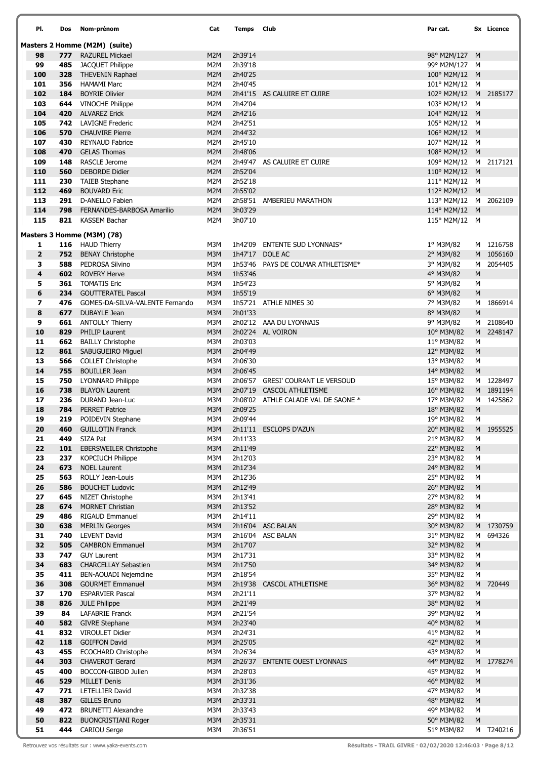| PI.                          | Dos        | Nom-prénom                                        | Cat                     | Temps              | Club                                            | Par cat.                               |                | Sx Licence             |
|------------------------------|------------|---------------------------------------------------|-------------------------|--------------------|-------------------------------------------------|----------------------------------------|----------------|------------------------|
|                              |            | Masters 2 Homme (M2M) (suite)                     |                         |                    |                                                 |                                        |                |                        |
| 98                           |            | 777 RAZUREL Mickael                               | M2M                     | 2h39'14            |                                                 | 98° M2M/127 M                          |                |                        |
| 99                           | 485        | <b>JACQUET Philippe</b>                           | M2M                     | 2h39'18            |                                                 | 99° M2M/127 M                          |                |                        |
| 100                          | 328        | <b>THEVENIN Raphael</b>                           | M2M                     | 2h40'25            |                                                 | 100° M2M/12 M                          |                |                        |
| 101                          | 356        | <b>HAMAMI Marc</b>                                | M2M                     | 2h40'45            |                                                 | 101° M2M/12 M                          |                |                        |
| 102<br>103                   | 184<br>644 | <b>BOYRIE Olivier</b>                             | M <sub>2</sub> M<br>M2M | 2h42'04            | 2h41'15 AS CALUIRE ET CUIRE                     | 102° M2M/12 M 2185177<br>103° M2M/12 M |                |                        |
| 104                          | 420        | <b>VINOCHE Philippe</b><br><b>ALVAREZ Erick</b>   | M2M                     | 2h42'16            |                                                 | 104° M2M/12 M                          |                |                        |
| 105                          | 742        | <b>LAVIGNE Frederic</b>                           | M2M                     | 2h42'51            |                                                 | 105° M2M/12                            | M              |                        |
| 106                          | 570        | <b>CHAUVIRE Pierre</b>                            | M2M                     | 2h44'32            |                                                 | 106° M2M/12 M                          |                |                        |
| 107                          | 430        | <b>REYNAUD Fabrice</b>                            | M2M                     | 2h45'10            |                                                 | 107° M2M/12 M                          |                |                        |
| 108                          | 470        | <b>GELAS Thomas</b>                               | M2M                     | 2h48'06            |                                                 | 108° M2M/12 M                          |                |                        |
| 109                          | 148        | <b>RASCLE Jerome</b>                              | M2M                     |                    | 2h49'47 AS CALUIRE ET CUIRE                     | 109° M2M/12 M 2117121                  |                |                        |
| 110                          | 560        | <b>DEBORDE Didier</b>                             | M2M                     | 2h52'04            |                                                 | 110° M2M/12 M                          |                |                        |
| 111                          | 230        | <b>TAIEB Stephane</b>                             | M2M                     | 2h52'18            |                                                 | 111° M2M/12 M                          |                |                        |
| 112<br>113                   | 469        | <b>BOUVARD Eric</b><br>D-ANELLO Fabien            | M2M<br>M2M              | 2h55'02            | 2h58'51 AMBERIEU MARATHON                       | 112° M2M/12 M<br>113° M2M/12 M 2062109 |                |                        |
| 114                          | 291<br>798 | FERNANDES-BARBOSA Amarilio                        | M2M                     | 3h03'29            |                                                 | 114° M2M/12 M                          |                |                        |
| 115                          | 821        | <b>KASSEM Bachar</b>                              | M2M                     | 3h07'10            |                                                 | 115° M2M/12 M                          |                |                        |
|                              |            |                                                   |                         |                    |                                                 |                                        |                |                        |
|                              |            | Masters 3 Homme (M3M) (78)                        |                         |                    |                                                 |                                        |                |                        |
| 1<br>$\overline{\mathbf{2}}$ |            | 116 HAUD Thierry<br><b>752</b> BENAY Christophe   | M3M<br>M3M              | 1h42'09            | <b>ENTENTE SUD LYONNAIS*</b><br>1h47'17 DOLE AC | 1° M3M/82<br>2° M3M/82                 |                | M 1216758<br>M 1056160 |
| 3                            | 588        | PEDROSA Silvino                                   | M3M                     |                    | 1h53'46 PAYS DE COLMAR ATHLETISME*              | 3° M3M/82                              | M              | 2054405                |
| 4                            | 602        | <b>ROVERY Herve</b>                               | M3M                     | 1h53'46            |                                                 | 4° M3M/82                              | ${\sf M}$      |                        |
| 5                            | 361        | <b>TOMATIS Eric</b>                               | M3M                     | 1h54'23            |                                                 | 5° M3M/82                              | М              |                        |
| 6                            | 234        | <b>GOUTTERATEL Pascal</b>                         | M3M                     | 1h55'19            |                                                 | 6° M3M/82                              | ${\sf M}$      |                        |
| 7                            | 476        | GOMES-DA-SILVA-VALENTE Fernando                   | M3M                     |                    | 1h57'21 ATHLE NIMES 30                          | 7° M3M/82                              | M              | 1866914                |
| 8                            | 677        | DUBAYLE Jean                                      | M3M                     | 2h01'33            |                                                 | 8° M3M/82                              | M              |                        |
| 9                            | 661        | <b>ANTOULY Thierry</b>                            | M3M                     |                    | 2h02'12 AAA DU LYONNAIS                         | 9° M3M/82                              |                | M 2108640              |
| 10                           | 829        | <b>PHILIP Laurent</b>                             | M3M                     |                    | 2h02'24 AL VOIRON                               | 10° M3M/82                             |                | M 2248147              |
| 11<br>12                     | 662<br>861 | <b>BAILLY Christophe</b><br>SABUGUEIRO Miguel     | M3M<br>M3M              | 2h03'03<br>2h04'49 |                                                 | 11° M3M/82<br>12° M3M/82               | М<br>${\sf M}$ |                        |
| 13                           | 566        | <b>COLLET Christophe</b>                          | M3M                     | 2h06'30            |                                                 | 13° M3M/82                             | М              |                        |
| 14                           | 755        | <b>BOUILLER Jean</b>                              | M3M                     | 2h06'45            |                                                 | 14° M3M/82                             | M              |                        |
| 15                           | 750        | <b>LYONNARD Philippe</b>                          | M3M                     |                    | 2h06'57 GRESI' COURANT LE VERSOUD               | 15° M3M/82                             |                | M 1228497              |
| 16                           | 738        | <b>BLAYON Laurent</b>                             | M3M                     |                    | 2h07'19 CASCOL ATHLETISME                       | 16° M3M/82                             |                | M 1891194              |
| 17                           | 236        | DURAND Jean-Luc                                   | M3M                     |                    | 2h08'02 ATHLE CALADE VAL DE SAONE *             | 17° M3M/82                             |                | M 1425862              |
| 18                           | 784        | <b>PERRET Patrice</b>                             | M3M                     | 2h09'25            |                                                 | 18° M3M/82                             | ${\sf M}$      |                        |
| 19                           | 219        | POIDEVIN Stephane                                 | M3M                     | 2h09'44            |                                                 | 19° M3M/82                             | M              |                        |
| 20<br>21                     | 460<br>449 | <b>GUILLOTIN Franck</b><br>SIZA Pat               | M3M<br>M3M              | 2h11'33            | 2h11'11 ESCLOPS D'AZUN                          | 20° M3M/82<br>21° M3M/82               | М              | M 1955525              |
| 22                           | 101        | <b>EBERSWEILER Christophe</b>                     | M3M                     | 2h11'49            |                                                 | 22° M3M/82                             | M              |                        |
| 23                           | 237        | <b>KOPCIUCH Philippe</b>                          | M3M                     | 2h12'03            |                                                 | 23° M3M/82                             | М              |                        |
| 24                           | 673        | <b>NOEL Laurent</b>                               | M3M                     | 2h12'34            |                                                 | 24° M3M/82                             | M              |                        |
| 25                           | 563        | ROLLY Jean-Louis                                  | M3M                     | 2h12'36            |                                                 | 25° M3M/82                             | М              |                        |
| 26                           | 586        | <b>BOUCHET Ludovic</b>                            | M3M                     | 2h12'49            |                                                 | 26° M3M/82                             | ${\sf M}$      |                        |
| 27                           | 645        | NIZET Christophe                                  | M3M                     | 2h13'41            |                                                 | 27° M3M/82                             | М              |                        |
| 28<br>29                     | 674<br>486 | <b>MORNET Christian</b><br><b>RIGAUD Emmanuel</b> | M3M<br>M3M              | 2h13'52<br>2h14'11 |                                                 | 28° M3M/82<br>29° M3M/82               | ${\sf M}$<br>М |                        |
| 30                           | 638        | <b>MERLIN Georges</b>                             | M3M                     |                    | 2h16'04 ASC BALAN                               | 30° M3M/82                             |                | M 1730759              |
| 31                           | 740        | <b>LEVENT David</b>                               | M3M                     |                    | 2h16'04 ASC BALAN                               | 31° M3M/82                             | M              | 694326                 |
| 32                           | 505        | <b>CAMBRON Emmanuel</b>                           | M3M                     | 2h17'07            |                                                 | 32° M3M/82                             | ${\sf M}$      |                        |
| 33                           | 747        | <b>GUY Laurent</b>                                | M3M                     | 2h17'31            |                                                 | 33° M3M/82                             | М              |                        |
| 34                           | 683        | <b>CHARCELLAY Sebastien</b>                       | M3M                     | 2h17'50            |                                                 | 34° M3M/82                             | ${\sf M}$      |                        |
| 35                           | 411        | BEN-AOUADI Nejemdine                              | M3M                     | 2h18'54            |                                                 | 35° M3M/82                             | М              |                        |
| 36                           | 308        | <b>GOURMET Emmanuel</b>                           | M3M                     | 2h19'38            | <b>CASCOL ATHLETISME</b>                        | 36° M3M/82                             |                | M 720449               |
| 37<br>38                     | 170<br>826 | <b>ESPARVIER Pascal</b><br><b>JULE Philippe</b>   | M3M<br>M3M              | 2h21'11<br>2h21'49 |                                                 | 37° M3M/82<br>38° M3M/82               | М<br>M         |                        |
| 39                           | 84         | <b>LAFABRIE Franck</b>                            | M3M                     | 2h21'54            |                                                 | 39° M3M/82                             | М              |                        |
| 40                           | 582        | <b>GIVRE Stephane</b>                             | M3M                     | 2h23'40            |                                                 | 40° M3M/82                             | ${\sf M}$      |                        |
| 41                           | 832        | <b>VIROULET Didier</b>                            | M3M                     | 2h24'31            |                                                 | 41° M3M/82                             | М              |                        |
| 42                           | 118        | <b>GOIFFON David</b>                              | M3M                     | 2h25'05            |                                                 | 42° M3M/82                             | ${\sf M}$      |                        |
| 43                           | 455        | <b>ECOCHARD Christophe</b>                        | M3M                     | 2h26'34            |                                                 | 43° M3M/82                             | М              |                        |
| 44                           | 303        | <b>CHAVEROT Gerard</b>                            | M3M                     | 2h26'37            | <b>ENTENTE OUEST LYONNAIS</b>                   | 44° M3M/82                             |                | M 1778274              |
| 45                           | 400        | BOCCON-GIBOD Julien                               | M3M                     | 2h28'03            |                                                 | 45° M3M/82                             | М              |                        |
| 46<br>47                     | 529        | <b>MILLET Denis</b><br><b>LETELLIER David</b>     | M3M<br>M3M              | 2h31'36<br>2h32'38 |                                                 | 46° M3M/82                             | ${\sf M}$      |                        |
| 48                           | 771<br>387 | <b>GILLES Bruno</b>                               | M3M                     | 2h33'31            |                                                 | 47° M3M/82<br>48° M3M/82               | М<br>M         |                        |
| 49                           | 472        | <b>BRUNETTI Alexandre</b>                         | M3M                     | 2h33'43            |                                                 | 49° M3M/82                             | М              |                        |
| 50                           | 822        | <b>BUONCRISTIANI Roger</b>                        | M3M                     | 2h35'31            |                                                 | 50° M3M/82                             | ${\sf M}$      |                        |
| 51                           | 444        | <b>CARIOU Serge</b>                               | M3M                     | 2h36'51            |                                                 | 51° M3M/82                             |                | M T240216              |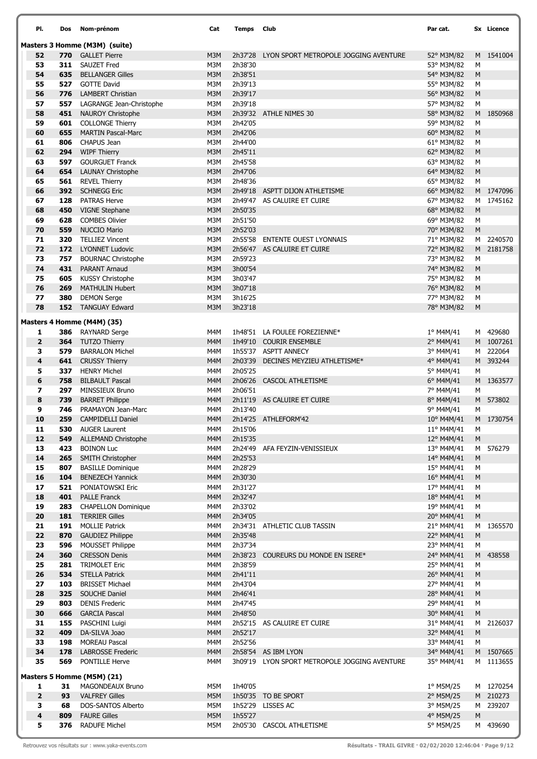| PI.                      | Dos        | Nom-prénom                                           | Cat        | Temps              | Club                                                 | Par cat.                 |           | Sx Licence             |
|--------------------------|------------|------------------------------------------------------|------------|--------------------|------------------------------------------------------|--------------------------|-----------|------------------------|
|                          |            | Masters 3 Homme (M3M) (suite)                        |            |                    |                                                      |                          |           |                        |
| 52                       | 770        | <b>GALLET Pierre</b>                                 | M3M        | 2h37'28            | LYON SPORT METROPOLE JOGGING AVENTURE                | 52° M3M/82               |           | M 1541004              |
| 53                       | 311        | <b>SAUZET Fred</b>                                   | M3M        | 2h38'30            |                                                      | 53° M3M/82               | М         |                        |
| 54                       | 635        | <b>BELLANGER Gilles</b>                              | M3M        | 2h38'51            |                                                      | 54° M3M/82               | M         |                        |
| 55                       | 527        | <b>GOTTE David</b>                                   | M3M        | 2h39'13            |                                                      | 55° M3M/82               | М         |                        |
| 56<br>57                 | 776        | <b>LAMBERT Christian</b>                             | M3M        | 2h39'17<br>2h39'18 |                                                      | 56° M3M/82               | M         |                        |
| 58                       | 557<br>451 | LAGRANGE Jean-Christophe<br><b>NAUROY Christophe</b> | M3M<br>M3M |                    | 2h39'32 ATHLE NIMES 30                               | 57° M3M/82<br>58° M3M/82 | M         | M 1850968              |
| 59                       | 601        | <b>COLLONGE Thierry</b>                              | M3M        | 2h42'05            |                                                      | 59° M3M/82               | M         |                        |
| 60                       | 655        | <b>MARTIN Pascal-Marc</b>                            | M3M        | 2h42'06            |                                                      | 60° M3M/82               | M         |                        |
| 61                       | 806        | <b>CHAPUS Jean</b>                                   | M3M        | 2h44'00            |                                                      | 61° M3M/82               | M         |                        |
| 62                       | 294        | <b>WIPF Thierry</b>                                  | M3M        | 2h45'11            |                                                      | 62° M3M/82               | M         |                        |
| 63                       | 597        | <b>GOURGUET Franck</b>                               | M3M        | 2h45'58            |                                                      | 63° M3M/82               | M         |                        |
| 64                       | 654        | <b>LAUNAY Christophe</b>                             | M3M        | 2h47'06            |                                                      | 64° M3M/82               | M         |                        |
| 65                       | 561        | <b>REVEL Thierry</b>                                 | M3M        | 2h48'36            |                                                      | 65° M3M/82               | М         |                        |
| 66                       | 392        | <b>SCHNEGG Eric</b>                                  | M3M        | 2h49'18            | ASPTT DIJON ATHLETISME                               | 66° M3M/82               |           | M 1747096              |
| 67                       | 128        | <b>PATRAS Herve</b>                                  | M3M        |                    | 2h49'47 AS CALUIRE ET CUIRE                          | 67° M3M/82               |           | M 1745162              |
| 68                       | 450        | <b>VIGNE Stephane</b>                                | M3M        | 2h50'35            |                                                      | 68° M3M/82               | M         |                        |
| 69                       | 628        | <b>COMBES Olivier</b>                                | M3M        | 2h51'50            |                                                      | 69° M3M/82               | M         |                        |
| 70                       | 559        | <b>NUCCIO Mario</b>                                  | M3M        | 2h52'03            |                                                      | 70° M3M/82               | M         |                        |
| 71<br>72                 | 320<br>172 | <b>TELLIEZ Vincent</b><br><b>LYONNET Ludovic</b>     | M3M<br>M3M | 2h55'58<br>2h56'47 | <b>ENTENTE OUEST LYONNAIS</b><br>AS CALUIRE ET CUIRE | 71° M3M/82               |           | M 2240570<br>M 2181758 |
| 73                       | 757        | <b>BOURNAC Christophe</b>                            | M3M        | 2h59'23            |                                                      | 72° M3M/82<br>73° M3M/82 | M         |                        |
| 74                       | 431        | <b>PARANT Arnaud</b>                                 | M3M        | 3h00'54            |                                                      | 74° M3M/82               | M         |                        |
| 75                       | 605        | <b>KUSSY Christophe</b>                              | M3M        | 3h03'47            |                                                      | 75° M3M/82               | М         |                        |
| 76                       | 269        | <b>MATHULIN Hubert</b>                               | M3M        | 3h07'18            |                                                      | 76° M3M/82               | M         |                        |
| 77                       | 380        | <b>DEMON Serge</b>                                   | M3M        | 3h16'25            |                                                      | 77° M3M/82               | М         |                        |
| 78                       |            | 152 TANGUAY Edward                                   | M3M        | 3h23'18            |                                                      | 78° M3M/82               | M         |                        |
|                          |            | Masters 4 Homme (M4M) (35)                           |            |                    |                                                      |                          |           |                        |
| 1                        | 386        | RAYNARD Serge                                        | M4M        |                    | 1h48'51 LA FOULEE FOREZIENNE*                        | 1° M4M/41                |           | M 429680               |
| $\overline{\mathbf{2}}$  | 364        | <b>TUTZO Thierry</b>                                 | M4M        | 1h49'10            | <b>COURIR ENSEMBLE</b>                               | 2° M4M/41                |           | M 1007261              |
| 3                        | 579        | <b>BARRALON Michel</b>                               | M4M        |                    | 1h55'37 ASPTT ANNECY                                 | 3° M4M/41                |           | M 222064               |
| 4                        | 641        | <b>CRUSSY Thierry</b>                                | M4M        | 2h03'39            | DECINES MEYZIEU ATHLETISME*                          | 4° M4M/41                |           | M 393244               |
| 5                        | 337        | <b>HENRY Michel</b>                                  | M4M        | 2h05'25            |                                                      | 5° M4M/41                | М         |                        |
| 6                        | 758        | <b>BILBAULT Pascal</b>                               | M4M        | 2h06'26            | <b>CASCOL ATHLETISME</b>                             | 6° M4M/41                |           | M 1363577              |
| $\overline{\phantom{a}}$ | 297        | MINSSIEUX Bruno                                      | M4M        | 2h06'51            |                                                      | 7° M4M/41                | М         |                        |
| 8                        | 739        | <b>BARRET Philippe</b>                               | M4M        |                    | 2h11'19 AS CALUIRE ET CUIRE                          | 8° M4M/41                |           | M 573802               |
| 9                        | 746        | PRAMAYON Jean-Marc                                   | M4M        | 2h13'40            |                                                      | 9° M4M/41                | М         |                        |
| 10<br>11                 | 259<br>530 | <b>CAMPIDELLI Daniel</b><br><b>AUGER Laurent</b>     | M4M<br>M4M | 2h15'06            | 2h14'25 ATHLEFORM'42                                 | 10° M4M/41<br>11° M4M/41 | M         | M 1730754              |
| 12                       | 549        | <b>ALLEMAND Christophe</b>                           | M4M        | 2h15'35            |                                                      | 12° M4M/41               | M         |                        |
| 13                       | 423        | <b>BOINON Luc</b>                                    | M4M        |                    | 2h24'49 AFA FEYZIN-VENISSIEUX                        | 13° M4M/41               |           | M 576279               |
| 14                       | 265        | <b>SMITH Christopher</b>                             | M4M        | 2h25'53            |                                                      | 14° M4M/41               | M         |                        |
| 15                       | 807        | <b>BASILLE Dominique</b>                             | M4M        | 2h28'29            |                                                      | 15° M4M/41               | M         |                        |
| 16                       | 104        | <b>BENEZECH Yannick</b>                              | M4M        | 2h30'30            |                                                      | 16° M4M/41               | M         |                        |
| 17                       | 521        | PONIATOWSKI Eric                                     | M4M        | 2h31'27            |                                                      | 17° M4M/41               | M         |                        |
| 18                       | 401        | <b>PALLE Franck</b>                                  | M4M        | 2h32'47            |                                                      | 18° M4M/41               | ${\sf M}$ |                        |
| 19                       | 283        | <b>CHAPELLON Dominique</b>                           | M4M        | 2h33'02            |                                                      | 19° M4M/41               | M         |                        |
| 20                       | 181        | <b>TERRIER Gilles</b>                                | M4M        | 2h34'05            |                                                      | 20° M4M/41               | M         |                        |
| 21                       | 191        | <b>MOLLIE Patrick</b>                                | M4M        |                    | 2h34'31 ATHLETIC CLUB TASSIN                         | 21° M4M/41               |           | M 1365570              |
| 22                       | 870        | <b>GAUDIEZ Philippe</b>                              | M4M        | 2h35'48            |                                                      | 22° M4M/41               | M         |                        |
| 23<br>24                 | 596<br>360 | <b>MOUSSET Philippe</b><br><b>CRESSON Denis</b>      | M4M<br>M4M | 2h37'34<br>2h38'23 | COUREURS DU MONDE EN ISERE*                          | 23° M4M/41<br>24° M4M/41 | M         | M 438558               |
| 25                       | 281        | <b>TRIMOLET Eric</b>                                 | M4M        | 2h38'59            |                                                      | 25° M4M/41               | M         |                        |
| 26                       | 534        | <b>STELLA Patrick</b>                                | M4M        | 2h41'11            |                                                      | 26° M4M/41               | M         |                        |
| 27                       | 103        | <b>BRISSET Michael</b>                               | M4M        | 2h43'04            |                                                      | 27° M4M/41               | M         |                        |
| 28                       | 325        | SOUCHE Daniel                                        | M4M        | 2h46'41            |                                                      | 28° M4M/41               | ${\sf M}$ |                        |
| 29                       | 803        | <b>DENIS Frederic</b>                                | M4M        | 2h47'45            |                                                      | 29° M4M/41               | M         |                        |
| 30                       | 666        | <b>GARCIA Pascal</b>                                 | M4M        | 2h48'50            |                                                      | 30° M4M/41               | M         |                        |
| 31                       | 155        | PASCHINI Luigi                                       | M4M        |                    | 2h52'15 AS CALUIRE ET CUIRE                          | 31° M4M/41               |           | M 2126037              |
| 32                       | 409        | DA-SILVA Joao                                        | M4M        | 2h52'17            |                                                      | 32° M4M/41               | ${\sf M}$ |                        |
| 33                       | 198        | <b>MOREAU Pascal</b>                                 | M4M        | 2h52'56            |                                                      | 33° M4M/41               | м         |                        |
| 34                       | 178        | <b>LABROSSE Frederic</b>                             | M4M        |                    | 2h58'54 AS IBM LYON                                  | 34° M4M/41               |           | M 1507665              |
| 35                       | 569        | PONTILLE Herve                                       | M4M        |                    | 3h09'19 LYON SPORT METROPOLE JOGGING AVENTURE        | 35° M4M/41               |           | M 1113655              |
|                          |            | Masters 5 Homme (M5M) (21)                           |            |                    |                                                      |                          |           |                        |
| 1                        | 31         | MAGONDEAUX Bruno                                     | M5M        | 1h40'05            |                                                      | 1º M5M/25                |           | M 1270254              |
| $\overline{\mathbf{2}}$  | 93         | <b>VALFREY Gilles</b>                                | M5M        |                    | 1h50'35 TO BE SPORT                                  | 2° M5M/25                |           | M 210273               |
| з                        | 68         | <b>DOS-SANTOS Alberto</b>                            | M5M        |                    | 1h52'29 LISSES AC                                    | 3° M5M/25                |           | M 239207               |
| 4<br>5                   | 809<br>376 | <b>FAURE Gilles</b><br><b>RADUFE Michel</b>          | M5M        | 1h55'27            |                                                      | 4° M5M/25                | ${\sf M}$ | M 439690               |
|                          |            |                                                      | M5M        |                    | 2h05'30 CASCOL ATHLETISME                            | 5° M5M/25                |           |                        |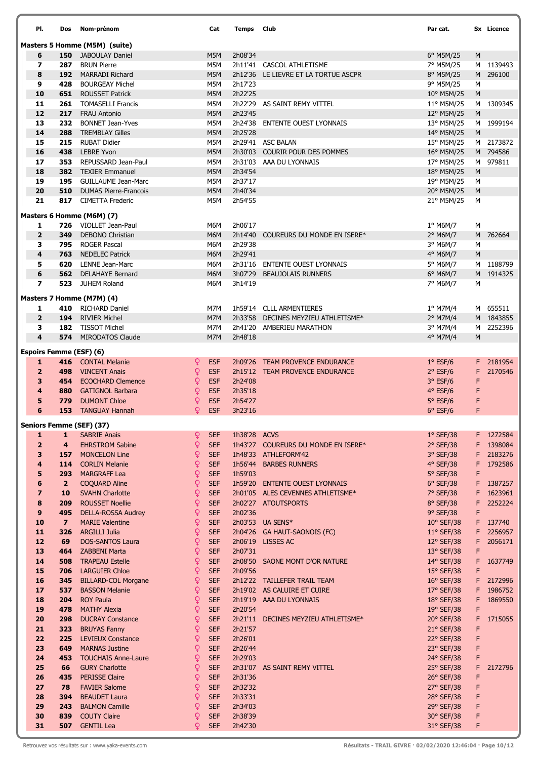| PI.                            | Dos                     | Nom-prénom                                          |                   | Cat                      | Temps              | <b>Club</b>                         | Par cat.                 |           | Sx Licence |
|--------------------------------|-------------------------|-----------------------------------------------------|-------------------|--------------------------|--------------------|-------------------------------------|--------------------------|-----------|------------|
|                                |                         | Masters 5 Homme (M5M) (suite)                       |                   |                          |                    |                                     |                          |           |            |
| 6                              | 150                     | <b>JABOULAY Daniel</b>                              |                   | M5M                      | 2h08'34            |                                     | $6^{\circ}$ M5M/25       | M         |            |
| $\overline{\phantom{a}}$       | 287                     | <b>BRUN Pierre</b>                                  |                   | M5M                      |                    | 2h11'41 CASCOL ATHLETISME           | 7° M5M/25                |           | M 1139493  |
| 8                              | 192                     | <b>MARRADI Richard</b>                              |                   | M5M                      | 2h12'36            | LE LIEVRE ET LA TORTUE ASCPR        | 8° M5M/25                |           | M 296100   |
| 9                              | 428                     | <b>BOURGEAY Michel</b>                              |                   | M5M                      | 2h17'23            |                                     | 9° M5M/25                | М         |            |
| 10                             | 651                     | <b>ROUSSET Patrick</b>                              |                   | M5M                      | 2h22'25            |                                     | 10° M5M/25               | ${\sf M}$ |            |
| 11                             |                         | 261 TOMASELLI Francis                               |                   | M5M                      |                    | 2h22'29 AS SAINT REMY VITTEL        | 11° M5M/25               |           | M 1309345  |
| 12                             | 217<br>232              | <b>FRAU Antonio</b>                                 |                   | M5M                      | 2h23'45            |                                     | 12° M5M/25               | M         |            |
| 13<br>14                       | 288                     | <b>BONNET Jean-Yves</b><br><b>TREMBLAY Gilles</b>   |                   | M5M<br>M5M               | 2h25'28            | 2h24'38 ENTENTE OUEST LYONNAIS      | 13° M5M/25<br>14° M5M/25 | M         | M 1999194  |
| 15                             |                         | 215 RUBAT Didier                                    |                   | M5M                      |                    | 2h29'41 ASC BALAN                   | 15° M5M/25               |           | M 2173872  |
| 16                             |                         | 438 LEBRE Yvon                                      |                   | M5M                      |                    | 2h30'03 COURIR POUR DES POMMES      | 16° M5M/25               |           | M 794586   |
| 17                             | 353                     | REPUSSARD Jean-Paul                                 |                   | M5M                      | 2h31'03            | AAA DU LYONNAIS                     | 17° M5M/25               |           | M 979811   |
| 18                             | 382                     | <b>TEXIER Emmanuel</b>                              |                   | M5M                      | 2h34'54            |                                     | 18° M5M/25               | M         |            |
| 19                             | 195                     | <b>GUILLAUME Jean-Marc</b>                          |                   | M5M                      | 2h37'17            |                                     | 19° M5M/25               | М         |            |
| 20                             | 510                     | <b>DUMAS Pierre-Francois</b>                        |                   | M5M                      | 2h40'34            |                                     | 20° M5M/25               | M         |            |
| 21                             | 817                     | <b>CIMETTA Frederic</b>                             |                   | M5M                      | 2h54'55            |                                     | 21° M5M/25               | М         |            |
|                                |                         | Masters 6 Homme (M6M) (7)                           |                   |                          |                    |                                     |                          |           |            |
| 1                              |                         | 726 VIOLLET Jean-Paul                               |                   | M6M                      | 2h06'17            |                                     | $1^\circ$ M6M/7          | М         |            |
| $\overline{\mathbf{2}}$        | 349                     | <b>DEBONO Christian</b>                             |                   | M6M                      | 2h14'40            | COUREURS DU MONDE EN ISERE*         | 2° M6M/7                 |           | M 762664   |
| 3                              |                         | 795 ROGER Pascal                                    |                   | M6M                      | 2h29'38            |                                     | 3° M6M/7                 | М         |            |
| 4                              | 763                     | <b>NEDELEC Patrick</b>                              |                   | M6M                      | 2h29'41            |                                     | 4° M6M/7                 | M         |            |
| 5                              |                         | 620 LENNE Jean-Marc                                 |                   | M6M                      |                    | 2h31'16 ENTENTE OUEST LYONNAIS      | 5° M6M/7                 |           | M 1188799  |
| 6                              | 562                     | <b>DELAHAYE Bernard</b>                             |                   | M6M                      | 3h07'29            | <b>BEAUJOLAIS RUNNERS</b>           | 6° M6M/7                 |           | M 1914325  |
| $\overline{\phantom{a}}$       | 523                     | <b>JUHEM Roland</b>                                 |                   | M6M                      | 3h14'19            |                                     | 7° M6M/7                 | M         |            |
|                                |                         | Masters 7 Homme (M7M) (4)                           |                   |                          |                    |                                     |                          |           |            |
| 1                              |                         | 410 RICHARD Daniel                                  |                   | M7M                      |                    | 1h59'14 CLLL ARMENTIERES            | 1° M7M/4                 |           | M 655511   |
| $\overline{2}$                 | 194                     | <b>RIVIER Michel</b>                                |                   | M7M                      |                    | 2h33'58 DECINES MEYZIEU ATHLETISME* | 2° M7M/4                 |           | M 1843855  |
| з                              | 182                     | <b>TISSOT Michel</b>                                |                   | M7M                      |                    | 2h41'20 AMBERIEU MARATHON           | 3° M7M/4                 | M         | 2252396    |
| $\overline{\mathbf{4}}$        |                         | 574 MIRODATOS Claude                                |                   | M7M                      | 2h48'18            |                                     | 4° M7M/4                 | M         |            |
| <b>Espoirs Femme (ESF) (6)</b> |                         |                                                     |                   |                          |                    |                                     |                          |           |            |
| 1                              | 416                     | <b>CONTAL Melanie</b>                               | Q                 | <b>ESF</b>               |                    | 2h09'26 TEAM PROVENCE ENDURANCE     | $1°$ ESF/6               |           | F 2181954  |
| $\overline{2}$                 | 498                     | <b>VINCENT Anais</b>                                | Q                 | <b>ESF</b>               |                    | 2h15'12 TEAM PROVENCE ENDURANCE     | $2°$ ESF/6               | F.        | 2170546    |
| 3                              | 454                     | <b>ECOCHARD Clemence</b>                            | Q.                | <b>ESF</b>               | 2h24'08            |                                     | $3°$ ESF/6               | F         |            |
| 4                              | 880                     | <b>GATIGNOL Barbara</b>                             | Q                 | <b>ESF</b>               | 2h35'18            |                                     | $4°$ ESF/6               | F         |            |
| 5                              | 779                     | <b>DUMONT Chloe</b>                                 | ¥                 | <b>ESF</b>               | 2h54'27            |                                     | $5°$ ESF/6               | F         |            |
| 6                              | 153                     | <b>TANGUAY Hannah</b>                               | Q                 | <b>ESF</b>               | 3h23'16            |                                     | $6°$ ESF/6               | F         |            |
|                                |                         | Seniors Femme (SEF) (37)                            |                   |                          |                    |                                     |                          |           |            |
| 1                              | 1                       | <b>SABRIE Anais</b>                                 | Q                 | <b>SEF</b>               | 1h38'28 ACVS       |                                     | $1°$ SEF/38              |           | F 1272584  |
| $\overline{2}$                 | $\overline{\mathbf{4}}$ | <b>EHRSTROM Sabine</b>                              | ¥                 | <b>SEF</b>               |                    | 1h43'27 COUREURS DU MONDE EN ISERE* | 2° SEF/38                |           | F 1398084  |
| 3                              | 157                     | <b>MONCELON Line</b>                                | $\mathsf{Q}$      | <b>SEF</b>               |                    | 1h48'33 ATHLEFORM'42                | 3° SEF/38                |           | F 2183276  |
| 4                              | 114                     | <b>CORLIN Melanie</b>                               | $\mathsf Q$       | <b>SEF</b>               |                    | 1h56'44 BARBES RUNNERS              | 4° SEF/38                | F.        | 1792586    |
| 5                              | 293                     | <b>MARGRAFF Lea</b>                                 | Q                 | <b>SEF</b>               | 1h59'03            |                                     | 5° SEF/38                | F         |            |
| 6                              | $\overline{2}$          | <b>COQUARD Aline</b>                                | $\mathsf{Q}$      | <b>SEF</b>               |                    | 1h59'20 ENTENTE OUEST LYONNAIS      | $6°$ SEF/38              |           | F 1387257  |
| $\overline{\mathbf{z}}$        | 10                      | <b>SVAHN Charlotte</b>                              | ₽                 | <b>SEF</b>               |                    | 2h01'05 ALES CEVENNES ATHLETISME*   | 7° SEF/38                | F.        | 1623961    |
| 8<br>9                         | 209<br>495              | <b>ROUSSET Noellie</b><br><b>DELLA-ROSSA Audrey</b> | $\mathsf{Q}$<br>₽ | <b>SEF</b><br><b>SEF</b> | 2h02'36            | 2h02'27 ATOUTSPORTS                 | 8° SEF/38<br>9° SEF/38   | F.<br>F   | 2252224    |
| 10                             | $\overline{\mathbf{z}}$ | <b>MARIE Valentine</b>                              | $\mathsf{Q}$      | <b>SEF</b>               |                    | 2h03'53 UA SENS*                    | $10^{\circ}$ SEF/38      |           | F 137740   |
| 11                             | 326                     | <b>ARGILLI Julia</b>                                | $\mathsf{Q}$      | <b>SEF</b>               |                    | 2h04'26 GA HAUT-SAONOIS (FC)        | 11° SEF/38               | F.        | 2256957    |
| 12                             | 69                      | <b>DOS-SANTOS Laura</b>                             | $\mathsf{Q}$      | <b>SEF</b>               |                    | 2h06'19 LISSES AC                   | 12° SEF/38               | F         | 2056171    |
| 13                             | 464                     | ZABBENI Marta                                       | ₽                 | <b>SEF</b>               | 2h07'31            |                                     | 13° SEF/38               | F         |            |
| 14                             | 508                     | <b>TRAPEAU Estelle</b>                              | $\mathsf{Q}$      | <b>SEF</b>               |                    | 2h08'50 SAONE MONT D'OR NATURE      | 14° SEF/38               | F.        | 1637749    |
| 15                             | 706                     | <b>LARGUIER Chloe</b>                               | $\mathsf{P}$      | <b>SEF</b>               | 2h09'56            |                                     | $15^{\circ}$ SEF/38      | F         |            |
| 16                             | 345                     | <b>BILLARD-COL Morgane</b>                          | $\mathsf Q$       | <b>SEF</b>               |                    | 2h12'22 TAILLEFER TRAIL TEAM        | 16° SEF/38               |           | F 2172996  |
| 17                             | 537                     | <b>BASSON Melanie</b>                               | $\mathsf Q$       | <b>SEF</b>               |                    | 2h19'02 AS CALUIRE ET CUIRE         | 17° SEF/38               |           | F 1986752  |
| 18                             | 204                     | <b>ROY Paula</b>                                    | $\mathsf{Q}$      | <b>SEF</b>               |                    | 2h19'19 AAA DU LYONNAIS             | $18^{\circ}$ SEF/38      | F.        | 1869550    |
| 19                             | 478                     | <b>MATHY Alexia</b>                                 | ₽                 | <b>SEF</b>               | 2h20'54            |                                     | 19° SEF/38               | F         |            |
| 20                             | 298                     | <b>DUCRAY Constance</b>                             | $\mathsf{Q}$      | <b>SEF</b>               |                    | 2h21'11 DECINES MEYZIEU ATHLETISME* | 20° SEF/38               | F         | 1715055    |
| 21                             | 323                     | <b>BRUYAS Fanny</b>                                 | $\mathsf{Q}$      | <b>SEF</b>               | 2h21'57            |                                     | 21° SEF/38               | F         |            |
| 22                             | 225                     | <b>LEVIEUX Constance</b>                            | $\mathsf Q$       | <b>SEF</b>               | 2h26'01            |                                     | 22° SEF/38               | F         |            |
| 23                             | 649                     | <b>MARNAS Justine</b>                               | $\mathsf{Q}$      | <b>SEF</b><br><b>SEF</b> | 2h26'44<br>2h29'03 |                                     | 23° SEF/38               | F         |            |
| 24<br>25                       | 453<br>66               | <b>TOUCHAIS Anne-Laure</b><br><b>GURY Charlotte</b> | ₽<br>₽            | <b>SEF</b>               |                    | 2h31'07 AS SAINT REMY VITTEL        | 24° SEF/38<br>25° SEF/38 | F<br>F.   | 2172796    |
| 26                             | 435                     | <b>PERISSE Claire</b>                               | $\mathsf{Q}$      | <b>SEF</b>               | 2h31'36            |                                     | 26° SEF/38               | F         |            |
| 27                             | 78                      | <b>FAVIER Salome</b>                                | $\mathsf{Q}$      | <b>SEF</b>               | 2h32'32            |                                     | 27° SEF/38               | F         |            |
| 28                             | 394                     | <b>BEAUDET Laura</b>                                | $\mathsf Q$       | <b>SEF</b>               | 2h33'31            |                                     | 28° SEF/38               | F         |            |
| 29                             | 243                     | <b>BALMON Camille</b>                               | Q                 | <b>SEF</b>               | 2h34'03            |                                     | 29° SEF/38               | F         |            |
| 30                             | 839                     | <b>COUTY Claire</b>                                 | Q                 | <b>SEF</b>               | 2h38'39            |                                     | 30° SEF/38               | F         |            |
| 31                             | 507                     | <b>GENTIL Lea</b>                                   | Q                 | <b>SEF</b>               | 2h42'30            |                                     | 31° SEF/38               | F         |            |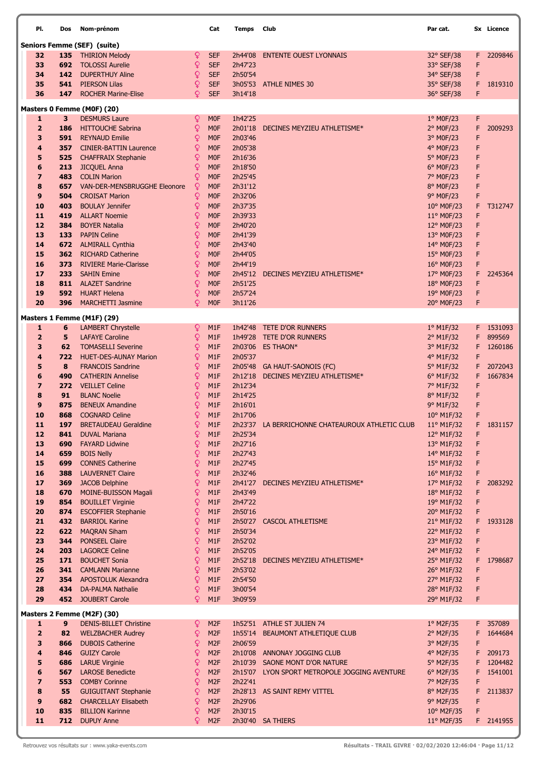| PI.                 | Dos        | Nom-prénom                                          |                   | Cat                                  | Temps              | Club                                             | Par cat.                 |        | Sx Licence        |
|---------------------|------------|-----------------------------------------------------|-------------------|--------------------------------------|--------------------|--------------------------------------------------|--------------------------|--------|-------------------|
|                     |            | <b>Seniors Femme (SEF) (suite)</b>                  |                   |                                      |                    |                                                  |                          |        |                   |
| 32                  |            | 135 THIRION Melody                                  | ₽                 | <b>SEF</b>                           | 2h44'08            | <b>ENTENTE OUEST LYONNAIS</b>                    | 32° SEF/38               | F.     | 2209846           |
| 33                  | 692        | <b>TOLOSSI Aurelie</b>                              | Q                 | <b>SEF</b>                           | 2h47'23            |                                                  | 33° SEF/38               | F      |                   |
| 34                  | 142        | <b>DUPERTHUY Aline</b>                              | ₽                 | <b>SEF</b>                           | 2h50'54            |                                                  | 34° SEF/38               | F      |                   |
| 35                  | 541        | <b>PIERSON Lilas</b>                                | Q                 | <b>SEF</b>                           | 3h05'53            | <b>ATHLE NIMES 30</b>                            | 35° SEF/38               | F      | 1819310           |
| 36                  | 147        | <b>ROCHER Marine-Elise</b>                          | Q                 | <b>SEF</b>                           | 3h14'18            |                                                  | 36° SEF/38               | F      |                   |
|                     |            | Masters 0 Femme (M0F) (20)                          |                   |                                      |                    |                                                  |                          |        |                   |
| $\mathbf{1}$        | 3          | <b>DESMURS Laure</b>                                | Q                 | <b>MOF</b>                           | 1h42'25            |                                                  | 1° M0F/23                | F      |                   |
| $\overline{2}$      | 186        | <b>HITTOUCHE Sabrina</b>                            | Q                 | M <sub>OF</sub>                      | 2h01'18            | DECINES MEYZIEU ATHLETISME*                      | 2° MOF/23                | F      | 2009293           |
| 3                   | 591        | <b>REYNAUD Emilie</b>                               | ₽                 | M <sub>0F</sub>                      | 2h03'46            |                                                  | 3° M0F/23                | F      |                   |
| 4                   | 357        | <b>CINIER-BATTIN Laurence</b>                       | ¥                 | <b>MOF</b>                           | 2h05'38            |                                                  | 4° MOF/23                | F      |                   |
| 5                   | 525        | <b>CHAFFRAIX Stephanie</b>                          | ¥                 | <b>MOF</b>                           | 2h16'36            |                                                  | 5° M0F/23                | F      |                   |
| 6<br>7              | 213<br>483 | <b>JICQUEL Anna</b><br><b>COLIN Marion</b>          | Q<br>Q            | <b>MOF</b><br><b>MOF</b>             | 2h18'50<br>2h25'45 |                                                  | $6^{\circ}$ MOF/23       | F<br>F |                   |
| 8                   | 657        | <b>VAN-DER-MENSBRUGGHE Eleonore</b>                 | Q                 | <b>MOF</b>                           | 2h31'12            |                                                  | 7° MOF/23<br>8° M0F/23   | F      |                   |
| 9                   | 504        | <b>CROISAT Marion</b>                               | ¥                 | <b>MOF</b>                           | 2h32'06            |                                                  | 9° MOF/23                | F      |                   |
| 10                  | 403        | <b>BOULAY Jennifer</b>                              | ₽                 | <b>MOF</b>                           | 2h37'35            |                                                  | 10° M0F/23               | F      | T312747           |
| 11                  | 419        | <b>ALLART Noemie</b>                                | ₽                 | <b>MOF</b>                           | 2h39'33            |                                                  | $11^{\circ}$ MOF/23      | F      |                   |
| 12                  | 384        | <b>BOYER Natalia</b>                                | Q                 | <b>MOF</b>                           | 2h40'20            |                                                  | 12° M0F/23               | F      |                   |
| 13                  | 133        | <b>PAPIN Celine</b>                                 | Q                 | <b>MOF</b>                           | 2h41'39            |                                                  | 13° M0F/23               | F      |                   |
| 14                  | 672        | <b>ALMIRALL Cynthia</b>                             | ¥                 | <b>MOF</b>                           | 2h43'40            |                                                  | 14° M0F/23               | F      |                   |
| 15                  | 362        | <b>RICHARD Catherine</b>                            | ¥                 | <b>MOF</b>                           | 2h44'05            |                                                  | 15° M0F/23               | F      |                   |
| 16                  | 373        | <b>RIVIERE Marie-Clarisse</b>                       | ¥                 | <b>MOF</b>                           | 2h44'19            |                                                  | 16° M0F/23               | F      |                   |
| 17                  | 233        | <b>SAHIN Emine</b>                                  | Q                 | <b>MOF</b>                           | 2h45'12            | DECINES MEYZIEU ATHLETISME*                      | 17° M0F/23               | F      | 2245364           |
| 18<br>19            |            | 811 ALAZET Sandrine<br><b>592</b> HUART Helena      | ¥<br>Q            | <b>MOF</b><br><b>MOF</b>             | 2h51'25<br>2h57'24 |                                                  | 18° M0F/23<br>19° M0F/23 | F<br>F |                   |
| 20                  | 396        | <b>MARCHETTI Jasmine</b>                            | Q                 | <b>MOF</b>                           | 3h11'26            |                                                  | 20° M0F/23               | F      |                   |
|                     |            |                                                     |                   |                                      |                    |                                                  |                          |        |                   |
|                     |            | Masters 1 Femme (M1F) (29)                          |                   |                                      |                    |                                                  |                          |        |                   |
| 1                   | 6          | <b>LAMBERT Chrystelle</b>                           | ¥                 | M <sub>1</sub> F                     | 1h42'48            | TETE D'OR RUNNERS                                | $1°$ M1F/32              |        | F 1531093         |
| $\overline{2}$<br>3 | 5<br>62    | <b>LAFAYE Caroline</b><br><b>TOMASELLI Severine</b> | ¥<br>¥            | M <sub>1</sub> F<br>M <sub>1</sub> F | 1h49'28<br>2h03'06 | TETE D'OR RUNNERS<br><b>ES THAON*</b>            | 2° M1F/32<br>3° M1F/32   | F<br>F | 899569<br>1260186 |
| 4                   | 722        | <b>HUET-DES-AUNAY Marion</b>                        | ₽                 | M <sub>1</sub> F                     | 2h05'37            |                                                  | 4° M1F/32                | F      |                   |
| 5                   | 8          | <b>FRANCOIS Sandrine</b>                            | ¥                 | M <sub>1</sub> F                     |                    | 2h05'48 GA HAUT-SAONOIS (FC)                     | 5° M1F/32                | F      | 2072043           |
| 6                   | 490        | <b>CATHERIN Annelise</b>                            | ₽                 | M1F                                  | 2h12'18            | DECINES MEYZIEU ATHLETISME*                      | 6° M1F/32                | F      | 1667834           |
| 7                   | 272        | <b>VEILLET Celine</b>                               | ¥                 | M <sub>1</sub> F                     | 2h12'34            |                                                  | 7° M1F/32                | F      |                   |
| 8                   | 91         | <b>BLANC Noelie</b>                                 | ¥                 | M <sub>1</sub> F                     | 2h14'25            |                                                  | 8° M1F/32                | F      |                   |
| 9                   | 875        | <b>BENEUX Amandine</b>                              | ¥                 | M <sub>1</sub> F                     | 2h16'01            |                                                  | 9° M1F/32                | F      |                   |
| 10                  | 868        | <b>COGNARD Celine</b>                               | Q                 | M <sub>1</sub> F                     | 2h17'06            |                                                  | 10° M1F/32               | F      |                   |
| 11                  | 197        | <b>BRETAUDEAU Geraldine</b>                         | ¥                 | M <sub>1</sub> F                     |                    | 2h23'37 LA BERRICHONNE CHATEAUROUX ATHLETIC CLUB | $11^{\circ}$ M1F/32      | F      | 1831157           |
| 12<br>13            | 841<br>690 | <b>DUVAL Mariana</b><br><b>FAYARD Lidwine</b>       | ¥<br>₽            | M1F<br>M <sub>1</sub> F              | 2h25'34<br>2h27'16 |                                                  | 12° M1F/32<br>13° M1F/32 | F<br>F |                   |
| 14                  | 659        | <b>BOIS Nelly</b>                                   | Q                 | M <sub>1</sub> F                     | 2h27'43            |                                                  | 14° M1F/32               | F      |                   |
| 15                  | 699        | <b>CONNES Catherine</b>                             | Q                 | M1F                                  | 2h27'45            |                                                  | $15^{\circ}$ M1F/32      | F      |                   |
| 16                  | 388        | <b>LAUVERNET Claire</b>                             | ₽                 | M1F                                  | 2h32'46            |                                                  | 16° M1F/32               | F      |                   |
| 17                  | 369        | <b>JACOB Delphine</b>                               | $\overline{Q}$    | M <sub>1</sub> F                     | 2h41'27            | DECINES MEYZIEU ATHLETISME*                      | 17° M1F/32               | F      | 2083292           |
| 18                  | 670        | MOINE-BUISSON Magali                                | $\mathsf Q$       | M1F                                  | 2h43'49            |                                                  | $18^{\circ}$ M1F/32      | F      |                   |
| 19                  | 854        | <b>BOUILLET Virginie</b>                            | ₽                 | M1F                                  | 2h47'22            |                                                  | 19° M1F/32               | F      |                   |
| 20                  | 874        | <b>ESCOFFIER Stephanie</b>                          | $\overline{Q}$    | M1F                                  | 2h50'16            |                                                  | 20° M1F/32               | F      |                   |
| 21<br>22            | 432<br>622 | <b>BARRIOL Karine</b><br><b>MAQRAN Siham</b>        | Q<br>$\mathsf{Q}$ | M1F<br>M <sub>1</sub> F              | 2h50'27<br>2h50'34 | <b>CASCOL ATHLETISME</b>                         | 21° M1F/32<br>22° M1F/32 | F<br>F | 1933128           |
| 23                  | 344        | <b>PONSEEL Claire</b>                               | ₽                 | M1F                                  | 2h52'02            |                                                  | 23° M1F/32               | F      |                   |
| 24                  | 203        | <b>LAGORCE Celine</b>                               | Q                 | M1F                                  | 2h52'05            |                                                  | 24° M1F/32               | F      |                   |
| 25                  | 171        | <b>BOUCHET Sonia</b>                                | $\mathsf Q$       | M <sub>1</sub> F                     | 2h52'18            | DECINES MEYZIEU ATHLETISME*                      | 25° M1F/32               | F      | 1798687           |
| 26                  | 341        | <b>CAMLANN Marianne</b>                             | $\mathsf{Q}$      | M <sub>1</sub> F                     | 2h53'02            |                                                  | 26° M1F/32               | F      |                   |
| 27                  | 354        | <b>APOSTOLUK Alexandra</b>                          | $\overline{Q}$    | M <sub>1</sub> F                     | 2h54'50            |                                                  | 27° M1F/32               | F      |                   |
| 28                  | 434        | <b>DA-PALMA Nathalie</b>                            | Q                 | M1F                                  | 3h00'54            |                                                  | 28° M1F/32               | F      |                   |
| 29                  | 452        | <b>JOUBERT Carole</b>                               | Q                 | M1F                                  | 3h09'59            |                                                  | 29° M1F/32               | F      |                   |
|                     |            | Masters 2 Femme (M2F) (30)                          |                   |                                      |                    |                                                  |                          |        |                   |
| $\mathbf{1}$        | 9          | <b>DENIS-BILLET Christine</b>                       | ¥                 | M <sub>2F</sub>                      |                    | 1h52'51 ATHLE ST JULIEN 74                       | $1^\circ$ M2F/35         | F.     | 357089            |
| $\overline{2}$      | 82         | <b>WELZBACHER Audrey</b>                            | $\mathsf{Q}$      | M <sub>2F</sub>                      | 1h55'14            | BEAUMONT ATHLETIQUE CLUB                         | 2° M2F/35                | F      | 1644684           |
| 3                   | 866        | <b>DUBOIS Catherine</b>                             | Q                 | M <sub>2F</sub>                      | 2h06'59            |                                                  | 3° M2F/35                | F      |                   |
| 4                   | 846        | <b>GUIZY Carole</b>                                 | Q                 | M <sub>2F</sub>                      |                    | 2h10'08 ANNONAY JOGGING CLUB                     | 4° M2F/35                | F      | 209173            |
| 5                   | 686        | <b>LARUE Virginie</b>                               | Q                 | M <sub>2F</sub>                      |                    | 2h10'39 SAONE MONT D'OR NATURE                   | 5° M2F/35                | F      | 1204482           |
| 6                   | 567        | <b>LAROSE Benedicte</b>                             | ¥                 | M <sub>2F</sub>                      |                    | 2h15'07 LYON SPORT METROPOLE JOGGING AVENTURE    | 6° M2F/35                | F      | 1541001           |
| $\overline{ }$<br>8 | 553<br>55  | <b>COMBY Corinne</b><br><b>GUIGUITANT Stephanie</b> | $\mathsf{Q}$<br>Q | M <sub>2F</sub><br>M <sub>2F</sub>   | 2h22'41            | 2h28'13 AS SAINT REMY VITTEL                     | 7° M2F/35<br>8° M2F/35   | F<br>F | 2113837           |
| 9                   | 682        | <b>CHARCELLAY Elisabeth</b>                         | Q                 | M <sub>2F</sub>                      | 2h29'06            |                                                  | 9° M2F/35                | F      |                   |
| 10                  | 835        | <b>BILLION Karinne</b>                              | Q                 | M <sub>2F</sub>                      | 2h30'15            |                                                  | 10° M2F/35               | F      |                   |
| 11                  |            | 712 DUPUY Anne                                      | Q                 | M <sub>2F</sub>                      |                    | 2h30'40 SA THIERS                                | 11° M2F/35               |        | F 2141955         |